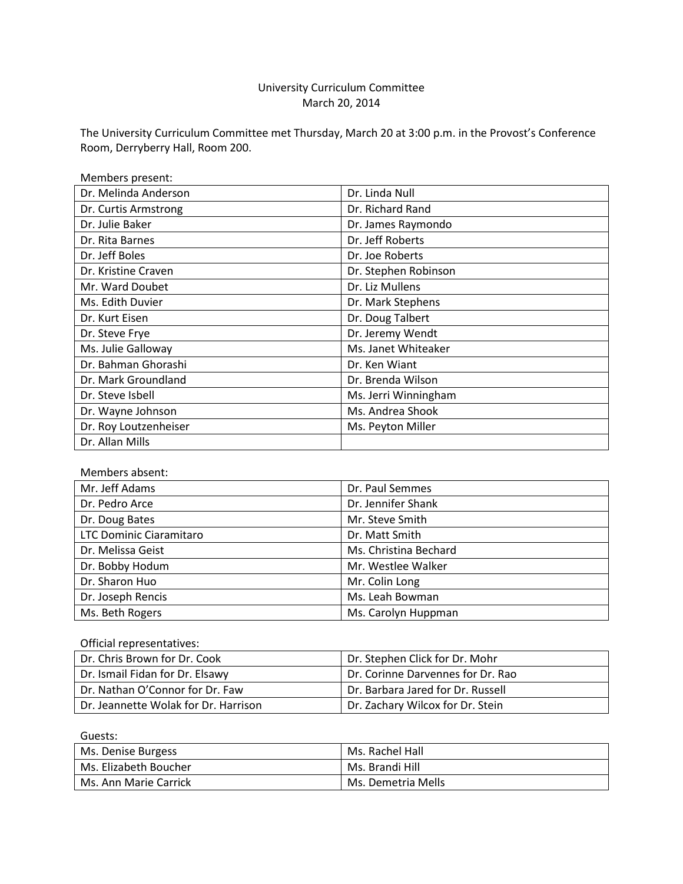## University Curriculum Committee March 20, 2014

The University Curriculum Committee met Thursday, March 20 at 3:00 p.m. in the Provost's Conference Room, Derryberry Hall, Room 200.

| Members present:      |                      |
|-----------------------|----------------------|
| Dr. Melinda Anderson  | Dr. Linda Null       |
| Dr. Curtis Armstrong  | Dr. Richard Rand     |
| Dr. Julie Baker       | Dr. James Raymondo   |
| Dr. Rita Barnes       | Dr. Jeff Roberts     |
| Dr. Jeff Boles        | Dr. Joe Roberts      |
| Dr. Kristine Craven   | Dr. Stephen Robinson |
| Mr. Ward Doubet       | Dr. Liz Mullens      |
| Ms. Edith Duvier      | Dr. Mark Stephens    |
| Dr. Kurt Eisen        | Dr. Doug Talbert     |
| Dr. Steve Frye        | Dr. Jeremy Wendt     |
| Ms. Julie Galloway    | Ms. Janet Whiteaker  |
| Dr. Bahman Ghorashi   | Dr. Ken Wiant        |
| Dr. Mark Groundland   | Dr. Brenda Wilson    |
| Dr. Steve Isbell      | Ms. Jerri Winningham |
| Dr. Wayne Johnson     | Ms. Andrea Shook     |
| Dr. Roy Loutzenheiser | Ms. Peyton Miller    |
| Dr. Allan Mills       |                      |

## Members absent:

| Mr. Jeff Adams          | Dr. Paul Semmes       |
|-------------------------|-----------------------|
| Dr. Pedro Arce          | Dr. Jennifer Shank    |
| Dr. Doug Bates          | Mr. Steve Smith       |
| LTC Dominic Ciaramitaro | Dr. Matt Smith        |
| Dr. Melissa Geist       | Ms. Christina Bechard |
| Dr. Bobby Hodum         | Mr. Westlee Walker    |
| Dr. Sharon Huo          | Mr. Colin Long        |
| Dr. Joseph Rencis       | Ms. Leah Bowman       |
| Ms. Beth Rogers         | Ms. Carolyn Huppman   |

#### Official representatives:

| Dr. Chris Brown for Dr. Cook         | Dr. Stephen Click for Dr. Mohr    |
|--------------------------------------|-----------------------------------|
| Dr. Ismail Fidan for Dr. Elsawy      | Dr. Corinne Darvennes for Dr. Rao |
| Dr. Nathan O'Connor for Dr. Faw      | Dr. Barbara Jared for Dr. Russell |
| Dr. Jeannette Wolak for Dr. Harrison | Dr. Zachary Wilcox for Dr. Stein  |

Guests: Ms. Denise Burgess Ms. Rachel Hall Ms. Elizabeth Boucher Ms. Brandi Hill Ms. Ann Marie Carrick Ms. Demetria Mells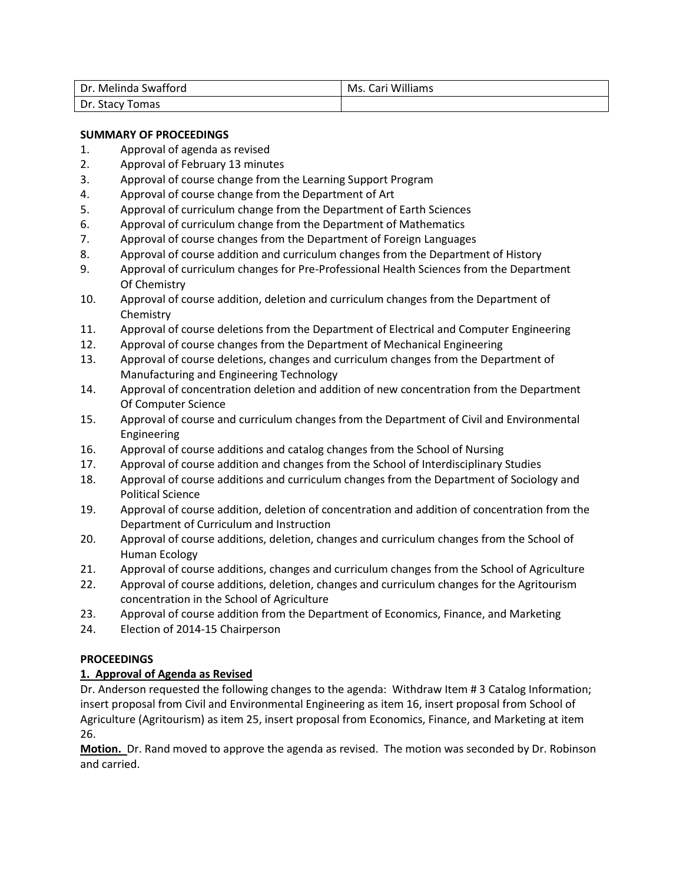| Dr. Melinda Swafford | Ms. Cari Williams |
|----------------------|-------------------|
| Dr. Stacy Tomas      |                   |

## **SUMMARY OF PROCEEDINGS**

- 1. Approval of agenda as revised
- 2. Approval of February 13 minutes
- 3. Approval of course change from the Learning Support Program
- 4. Approval of course change from the Department of Art
- 5. Approval of curriculum change from the Department of Earth Sciences
- 6. Approval of curriculum change from the Department of Mathematics
- 7. Approval of course changes from the Department of Foreign Languages
- 8. Approval of course addition and curriculum changes from the Department of History
- 9. Approval of curriculum changes for Pre-Professional Health Sciences from the Department Of Chemistry
- 10. Approval of course addition, deletion and curriculum changes from the Department of **Chemistry**
- 11. Approval of course deletions from the Department of Electrical and Computer Engineering
- 12. Approval of course changes from the Department of Mechanical Engineering
- 13. Approval of course deletions, changes and curriculum changes from the Department of Manufacturing and Engineering Technology
- 14. Approval of concentration deletion and addition of new concentration from the Department Of Computer Science
- 15. Approval of course and curriculum changes from the Department of Civil and Environmental Engineering
- 16. Approval of course additions and catalog changes from the School of Nursing
- 17. Approval of course addition and changes from the School of Interdisciplinary Studies
- 18. Approval of course additions and curriculum changes from the Department of Sociology and Political Science
- 19. Approval of course addition, deletion of concentration and addition of concentration from the Department of Curriculum and Instruction
- 20. Approval of course additions, deletion, changes and curriculum changes from the School of Human Ecology
- 21. Approval of course additions, changes and curriculum changes from the School of Agriculture
- 22. Approval of course additions, deletion, changes and curriculum changes for the Agritourism concentration in the School of Agriculture
- 23. Approval of course addition from the Department of Economics, Finance, and Marketing
- 24. Election of 2014-15 Chairperson

## **PROCEEDINGS**

#### **1. Approval of Agenda as Revised**

Dr. Anderson requested the following changes to the agenda: Withdraw Item # 3 Catalog Information; insert proposal from Civil and Environmental Engineering as item 16, insert proposal from School of Agriculture (Agritourism) as item 25, insert proposal from Economics, Finance, and Marketing at item 26.

**Motion.** Dr. Rand moved to approve the agenda as revised. The motion was seconded by Dr. Robinson and carried.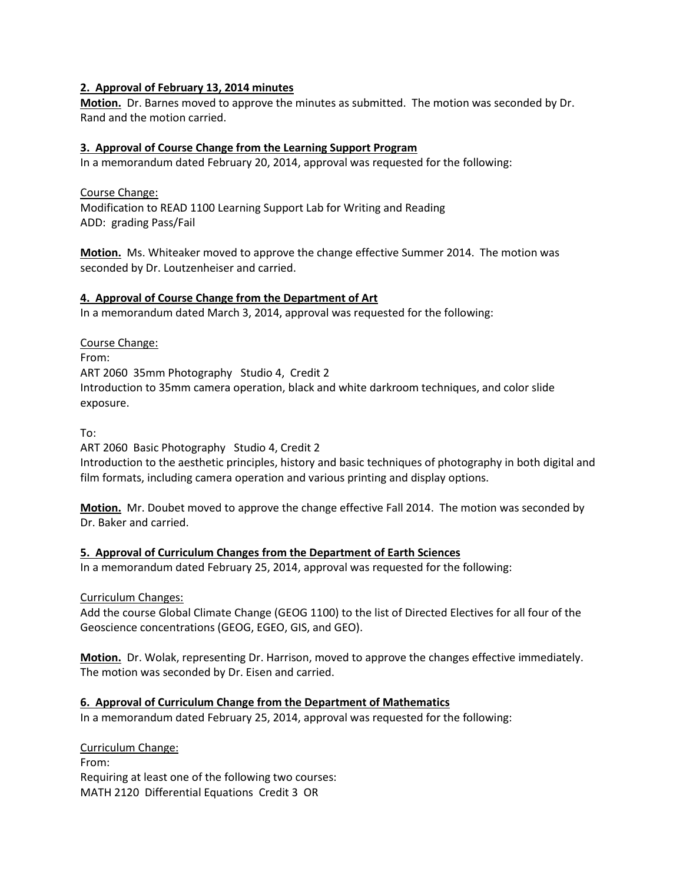#### **2. Approval of February 13, 2014 minutes**

**Motion.** Dr. Barnes moved to approve the minutes as submitted. The motion was seconded by Dr. Rand and the motion carried.

## **3. Approval of Course Change from the Learning Support Program**

In a memorandum dated February 20, 2014, approval was requested for the following:

Course Change: Modification to READ 1100 Learning Support Lab for Writing and Reading ADD: grading Pass/Fail

**Motion.** Ms. Whiteaker moved to approve the change effective Summer 2014. The motion was seconded by Dr. Loutzenheiser and carried.

## **4. Approval of Course Change from the Department of Art**

In a memorandum dated March 3, 2014, approval was requested for the following:

Course Change:

From: ART 2060 35mm Photography Studio 4, Credit 2 Introduction to 35mm camera operation, black and white darkroom techniques, and color slide exposure.

To:

ART 2060 Basic Photography Studio 4, Credit 2

Introduction to the aesthetic principles, history and basic techniques of photography in both digital and film formats, including camera operation and various printing and display options.

**Motion.** Mr. Doubet moved to approve the change effective Fall 2014. The motion was seconded by Dr. Baker and carried.

## **5. Approval of Curriculum Changes from the Department of Earth Sciences**

In a memorandum dated February 25, 2014, approval was requested for the following:

Curriculum Changes:

Add the course Global Climate Change (GEOG 1100) to the list of Directed Electives for all four of the Geoscience concentrations (GEOG, EGEO, GIS, and GEO).

**Motion.** Dr. Wolak, representing Dr. Harrison, moved to approve the changes effective immediately. The motion was seconded by Dr. Eisen and carried.

## **6. Approval of Curriculum Change from the Department of Mathematics**

In a memorandum dated February 25, 2014, approval was requested for the following:

Curriculum Change: From: Requiring at least one of the following two courses: MATH 2120 Differential Equations Credit 3 OR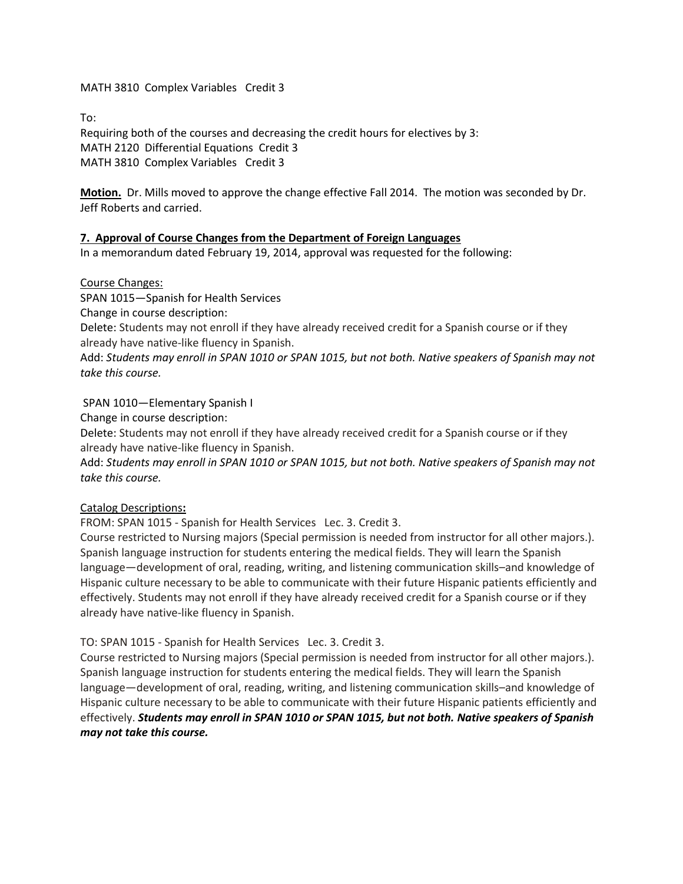MATH 3810 Complex Variables Credit 3

To:

Requiring both of the courses and decreasing the credit hours for electives by 3: MATH 2120 Differential Equations Credit 3 MATH 3810 Complex Variables Credit 3

**Motion.** Dr. Mills moved to approve the change effective Fall 2014. The motion was seconded by Dr. Jeff Roberts and carried.

## **7. Approval of Course Changes from the Department of Foreign Languages**

In a memorandum dated February 19, 2014, approval was requested for the following:

#### Course Changes:

SPAN 1015—Spanish for Health Services Change in course description:

Delete: Students may not enroll if they have already received credit for a Spanish course or if they already have native-like fluency in Spanish.

Add: *Students may enroll in SPAN 1010 or SPAN 1015, but not both. Native speakers of Spanish may not take this course.*

## SPAN 1010—Elementary Spanish I

Change in course description:

Delete: Students may not enroll if they have already received credit for a Spanish course or if they already have native-like fluency in Spanish.

Add: *Students may enroll in SPAN 1010 or SPAN 1015, but not both. Native speakers of Spanish may not take this course.*

## Catalog Descriptions**:**

FROM: SPAN 1015 - Spanish for Health Services Lec. 3. Credit 3.

Course restricted to Nursing majors (Special permission is needed from instructor for all other majors.). Spanish language instruction for students entering the medical fields. They will learn the Spanish language—development of oral, reading, writing, and listening communication skills–and knowledge of Hispanic culture necessary to be able to communicate with their future Hispanic patients efficiently and effectively. Students may not enroll if they have already received credit for a Spanish course or if they already have native-like fluency in Spanish.

## TO: SPAN 1015 - Spanish for Health ServicesLec. 3. Credit 3.

Course restricted to Nursing majors (Special permission is needed from instructor for all other majors.). Spanish language instruction for students entering the medical fields. They will learn the Spanish language—development of oral, reading, writing, and listening communication skills–and knowledge of Hispanic culture necessary to be able to communicate with their future Hispanic patients efficiently and effectively. *Students may enroll in SPAN 1010 or SPAN 1015, but not both. Native speakers of Spanish may not take this course.*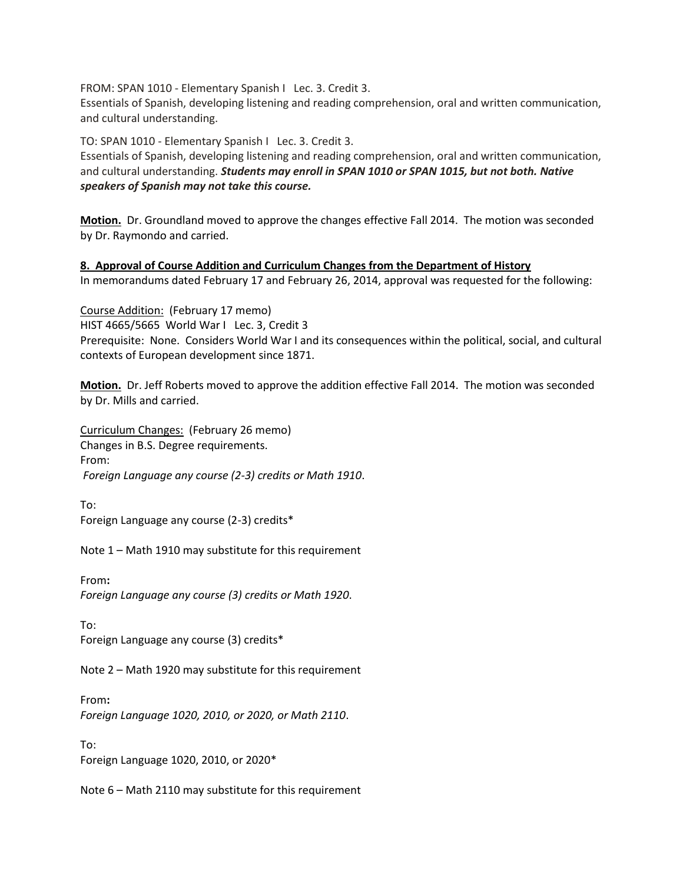FROM: SPAN 1010 - Elementary Spanish ILec. 3. Credit 3.

Essentials of Spanish, developing listening and reading comprehension, oral and written communication, and cultural understanding.

TO: SPAN 1010 - Elementary Spanish I Lec. 3. Credit 3.

Essentials of Spanish, developing listening and reading comprehension, oral and written communication, and cultural understanding. *Students may enroll in SPAN 1010 or SPAN 1015, but not both. Native speakers of Spanish may not take this course.*

**Motion.** Dr. Groundland moved to approve the changes effective Fall 2014. The motion was seconded by Dr. Raymondo and carried.

**8. Approval of Course Addition and Curriculum Changes from the Department of History** In memorandums dated February 17 and February 26, 2014, approval was requested for the following:

Course Addition: (February 17 memo) HIST 4665/5665 World War I Lec. 3, Credit 3 Prerequisite: None. Considers World War I and its consequences within the political, social, and cultural contexts of European development since 1871.

**Motion.** Dr. Jeff Roberts moved to approve the addition effective Fall 2014. The motion was seconded by Dr. Mills and carried.

Curriculum Changes: (February 26 memo) Changes in B.S. Degree requirements. From: *Foreign Language any course (2-3) credits or Math 1910*.

To: Foreign Language any course (2-3) credits\*

Note 1 – Math 1910 may substitute for this requirement

From**:** *Foreign Language any course (3) credits or Math 1920*.

To: Foreign Language any course (3) credits\*

Note 2 – Math 1920 may substitute for this requirement

From**:** *Foreign Language 1020, 2010, or 2020, or Math 2110*.

To: Foreign Language 1020, 2010, or 2020\*

Note 6 – Math 2110 may substitute for this requirement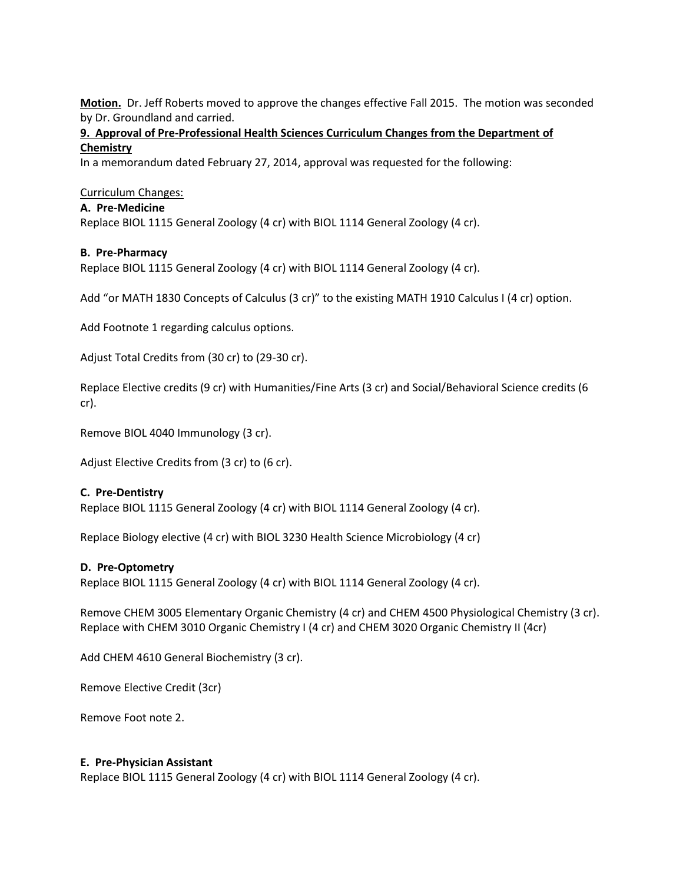**Motion.** Dr. Jeff Roberts moved to approve the changes effective Fall 2015. The motion was seconded by Dr. Groundland and carried.

## **9. Approval of Pre-Professional Health Sciences Curriculum Changes from the Department of Chemistry**

In a memorandum dated February 27, 2014, approval was requested for the following:

#### Curriculum Changes:

#### **A. Pre-Medicine**

Replace BIOL 1115 General Zoology (4 cr) with BIOL 1114 General Zoology (4 cr).

#### **B. Pre-Pharmacy**

Replace BIOL 1115 General Zoology (4 cr) with BIOL 1114 General Zoology (4 cr).

Add "or MATH 1830 Concepts of Calculus (3 cr)" to the existing MATH 1910 Calculus I (4 cr) option.

Add Footnote 1 regarding calculus options.

Adjust Total Credits from (30 cr) to (29-30 cr).

Replace Elective credits (9 cr) with Humanities/Fine Arts (3 cr) and Social/Behavioral Science credits (6 cr).

Remove BIOL 4040 Immunology (3 cr).

Adjust Elective Credits from (3 cr) to (6 cr).

#### **C. Pre-Dentistry**

Replace BIOL 1115 General Zoology (4 cr) with BIOL 1114 General Zoology (4 cr).

Replace Biology elective (4 cr) with BIOL 3230 Health Science Microbiology (4 cr)

#### **D. Pre-Optometry**

Replace BIOL 1115 General Zoology (4 cr) with BIOL 1114 General Zoology (4 cr).

Remove CHEM 3005 Elementary Organic Chemistry (4 cr) and CHEM 4500 Physiological Chemistry (3 cr). Replace with CHEM 3010 Organic Chemistry I (4 cr) and CHEM 3020 Organic Chemistry II (4cr)

Add CHEM 4610 General Biochemistry (3 cr).

Remove Elective Credit (3cr)

Remove Foot note 2.

#### **E. Pre-Physician Assistant**

Replace BIOL 1115 General Zoology (4 cr) with BIOL 1114 General Zoology (4 cr).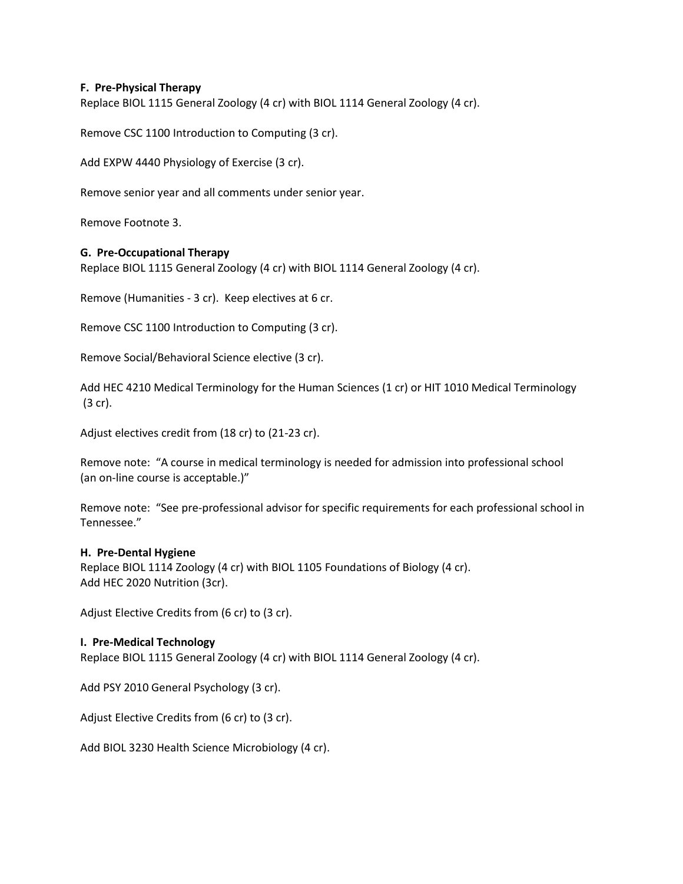#### **F. Pre-Physical Therapy**

Replace BIOL 1115 General Zoology (4 cr) with BIOL 1114 General Zoology (4 cr).

Remove CSC 1100 Introduction to Computing (3 cr).

Add EXPW 4440 Physiology of Exercise (3 cr).

Remove senior year and all comments under senior year.

Remove Footnote 3.

## **G. Pre-Occupational Therapy**

Replace BIOL 1115 General Zoology (4 cr) with BIOL 1114 General Zoology (4 cr).

Remove (Humanities - 3 cr). Keep electives at 6 cr.

Remove CSC 1100 Introduction to Computing (3 cr).

Remove Social/Behavioral Science elective (3 cr).

Add HEC 4210 Medical Terminology for the Human Sciences (1 cr) or HIT 1010 Medical Terminology (3 cr).

Adjust electives credit from (18 cr) to (21-23 cr).

Remove note: "A course in medical terminology is needed for admission into professional school (an on-line course is acceptable.)"

Remove note: "See pre-professional advisor for specific requirements for each professional school in Tennessee."

#### **H. Pre-Dental Hygiene**

Replace BIOL 1114 Zoology (4 cr) with BIOL 1105 Foundations of Biology (4 cr). Add HEC 2020 Nutrition (3cr).

Adjust Elective Credits from (6 cr) to (3 cr).

#### **I. Pre-Medical Technology**

Replace BIOL 1115 General Zoology (4 cr) with BIOL 1114 General Zoology (4 cr).

Add PSY 2010 General Psychology (3 cr).

Adjust Elective Credits from (6 cr) to (3 cr).

Add BIOL 3230 Health Science Microbiology (4 cr).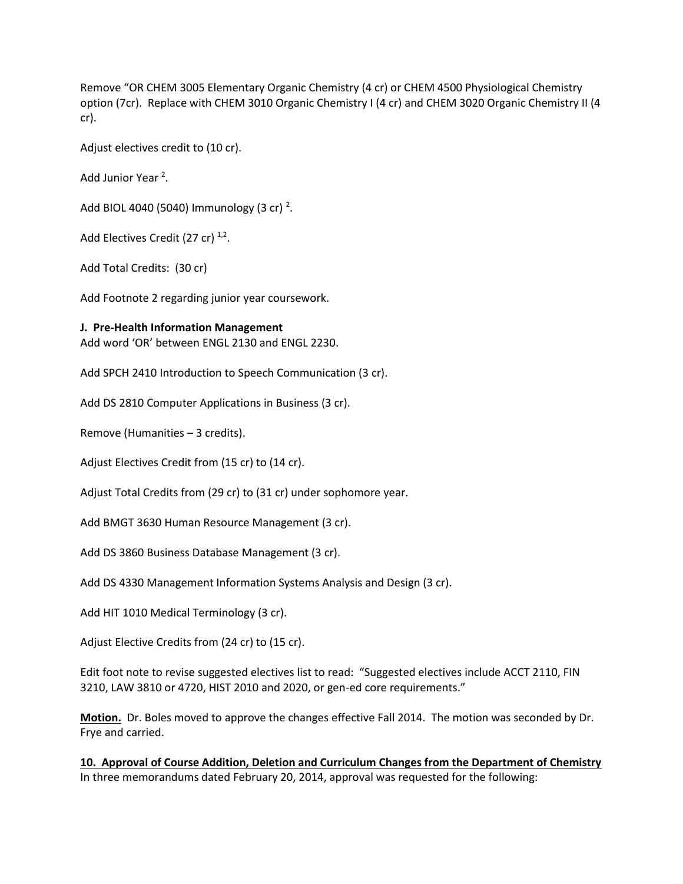Remove "OR CHEM 3005 Elementary Organic Chemistry (4 cr) or CHEM 4500 Physiological Chemistry option (7cr). Replace with CHEM 3010 Organic Chemistry I (4 cr) and CHEM 3020 Organic Chemistry II (4 cr).

Adjust electives credit to (10 cr).

Add Junior Year <sup>2</sup>.

Add BIOL 4040 (5040) Immunology (3 cr)  $^2$ .

Add Electives Credit (27 cr)  $^{1,2}$ .

Add Total Credits: (30 cr)

Add Footnote 2 regarding junior year coursework.

#### **J. Pre-Health Information Management**

Add word 'OR' between ENGL 2130 and ENGL 2230.

Add SPCH 2410 Introduction to Speech Communication (3 cr).

Add DS 2810 Computer Applications in Business (3 cr).

Remove (Humanities – 3 credits).

Adjust Electives Credit from (15 cr) to (14 cr).

Adjust Total Credits from (29 cr) to (31 cr) under sophomore year.

Add BMGT 3630 Human Resource Management (3 cr).

Add DS 3860 Business Database Management (3 cr).

Add DS 4330 Management Information Systems Analysis and Design (3 cr).

Add HIT 1010 Medical Terminology (3 cr).

Adjust Elective Credits from (24 cr) to (15 cr).

Edit foot note to revise suggested electives list to read: "Suggested electives include ACCT 2110, FIN 3210, LAW 3810 or 4720, HIST 2010 and 2020, or gen-ed core requirements."

**Motion.** Dr. Boles moved to approve the changes effective Fall 2014. The motion was seconded by Dr. Frye and carried.

**10. Approval of Course Addition, Deletion and Curriculum Changes from the Department of Chemistry** In three memorandums dated February 20, 2014, approval was requested for the following: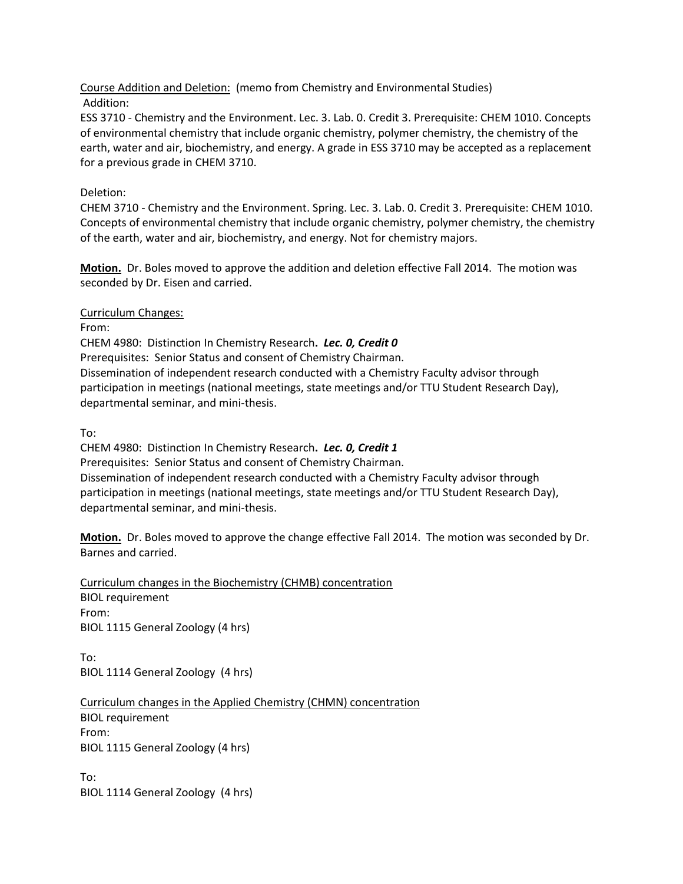Course Addition and Deletion: (memo from Chemistry and Environmental Studies) Addition:

ESS 3710 - Chemistry and the Environment. Lec. 3. Lab. 0. Credit 3. Prerequisite: CHEM 1010. Concepts of environmental chemistry that include organic chemistry, polymer chemistry, the chemistry of the earth, water and air, biochemistry, and energy. A grade in ESS 3710 may be accepted as a replacement for a previous grade in CHEM 3710.

## Deletion:

CHEM 3710 - Chemistry and the Environment. Spring. Lec. 3. Lab. 0. Credit 3. Prerequisite: CHEM 1010. Concepts of environmental chemistry that include organic chemistry, polymer chemistry, the chemistry of the earth, water and air, biochemistry, and energy. Not for chemistry majors.

**Motion.** Dr. Boles moved to approve the addition and deletion effective Fall 2014. The motion was seconded by Dr. Eisen and carried.

Curriculum Changes:

From:

CHEM 4980: Distinction In Chemistry Research**.** *Lec. 0, Credit 0*  Prerequisites: Senior Status and consent of Chemistry Chairman. Dissemination of independent research conducted with a Chemistry Faculty advisor through participation in meetings (national meetings, state meetings and/or TTU Student Research Day), departmental seminar, and mini-thesis.

To:

CHEM 4980: Distinction In Chemistry Research**.** *Lec. 0, Credit 1* Prerequisites: Senior Status and consent of Chemistry Chairman. Dissemination of independent research conducted with a Chemistry Faculty advisor through participation in meetings (national meetings, state meetings and/or TTU Student Research Day), departmental seminar, and mini-thesis.

**Motion.** Dr. Boles moved to approve the change effective Fall 2014. The motion was seconded by Dr. Barnes and carried.

Curriculum changes in the Biochemistry (CHMB) concentration BIOL requirement From: BIOL 1115 General Zoology (4 hrs)

To: BIOL 1114 General Zoology (4 hrs)

Curriculum changes in the Applied Chemistry (CHMN) concentration BIOL requirement From: BIOL 1115 General Zoology (4 hrs)

To: BIOL 1114 General Zoology (4 hrs)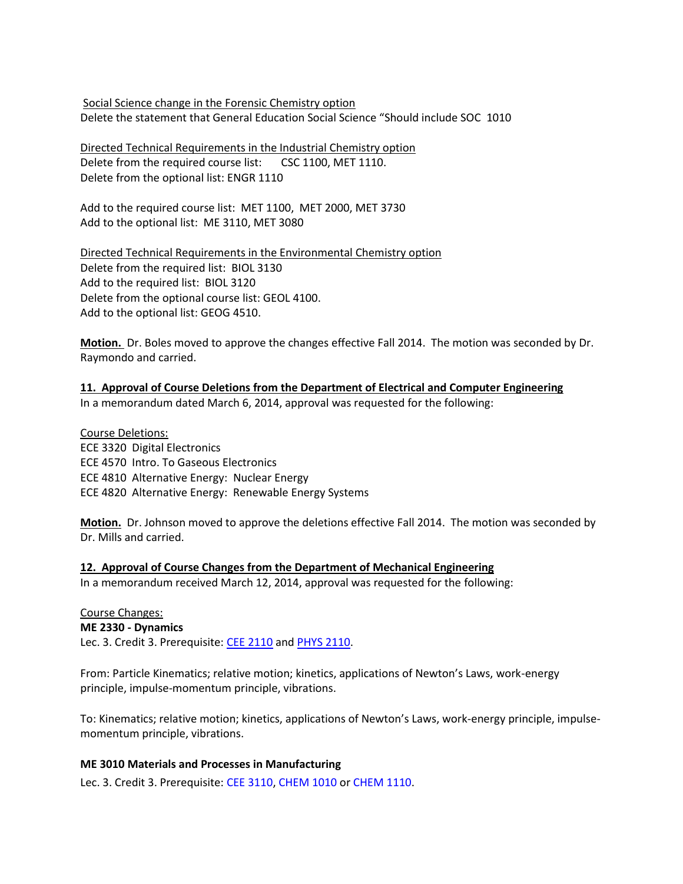Social Science change in the Forensic Chemistry option Delete the statement that General Education Social Science "Should include SOC 1010

Directed Technical Requirements in the Industrial Chemistry option Delete from the required course list: CSC 1100, MET 1110. Delete from the optional list: ENGR 1110

Add to the required course list: MET 1100, MET 2000, MET 3730 Add to the optional list: ME 3110, MET 3080

Directed Technical Requirements in the Environmental Chemistry option Delete from the required list: BIOL 3130 Add to the required list: BIOL 3120 Delete from the optional course list: GEOL 4100. Add to the optional list: GEOG 4510.

**Motion.** Dr. Boles moved to approve the changes effective Fall 2014. The motion was seconded by Dr. Raymondo and carried.

**11. Approval of Course Deletions from the Department of Electrical and Computer Engineering** In a memorandum dated March 6, 2014, approval was requested for the following:

Course Deletions: ECE 3320 Digital Electronics ECE 4570 Intro. To Gaseous Electronics ECE 4810 Alternative Energy: Nuclear Energy ECE 4820 Alternative Energy: Renewable Energy Systems

**Motion.** Dr. Johnson moved to approve the deletions effective Fall 2014. The motion was seconded by Dr. Mills and carried.

#### **12. Approval of Course Changes from the Department of Mechanical Engineering**

In a memorandum received March 12, 2014, approval was requested for the following:

Course Changes: **ME 2330 - Dynamics** Lec. 3. Credit 3. Prerequisite: [CEE 2110](http://catalog.tntech.edu/preview_program.php?catoid=11&poid=1143&returnto=1864#tt4846) and [PHYS 2110.](http://catalog.tntech.edu/preview_program.php?catoid=11&poid=1143&returnto=1864#tt5467)

From: Particle Kinematics; relative motion; kinetics, applications of Newton's Laws, work-energy principle, impulse-momentum principle, vibrations.

To: Kinematics; relative motion; kinetics, applications of Newton's Laws, work-energy principle, impulsemomentum principle, vibrations.

#### **ME 3010 Materials and Processes in Manufacturing**

Lec. 3. Credit 3. Prerequisite: CEE 3110, CHEM 1010 or CHEM 1110.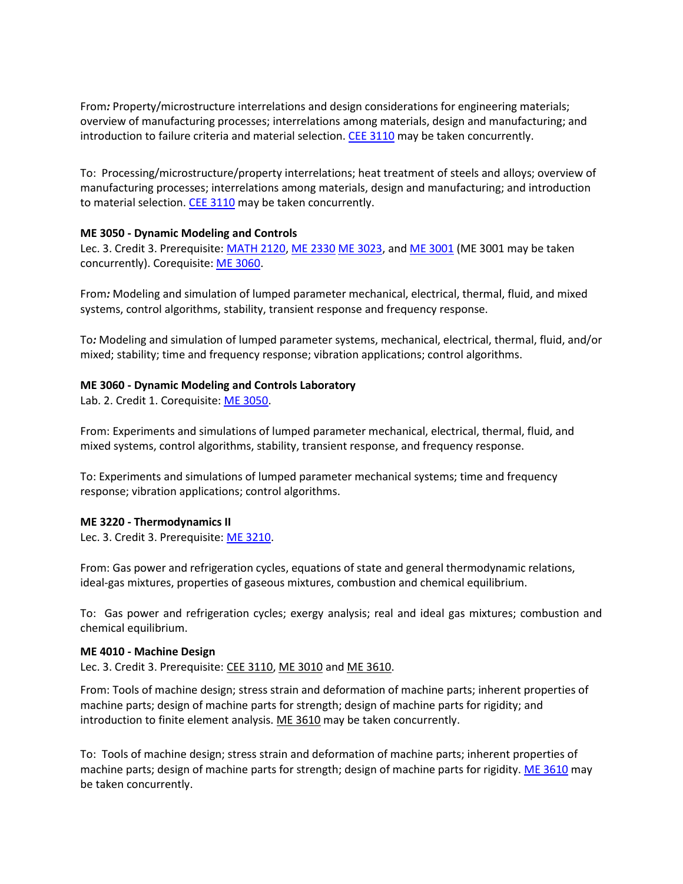From*:* Property/microstructure interrelations and design considerations for engineering materials; overview of manufacturing processes; interrelations among materials, design and manufacturing; and introduction to failure criteria and material selection[. CEE 3110](http://catalog.tntech.edu/content.php?filter%5B27%5D=ME&filter%5B29%5D=&filter%5Bcourse_type%5D=-1&filter%5Bkeyword%5D=&filter%5B32%5D=1&filter%5Bcpage%5D=1&cur_cat_oid=11&expand=&navoid=1988&search_database=Filter&filter%5Bexact_match%5D=1#tt8921) may be taken concurrently.

To: Processing/microstructure/property interrelations; heat treatment of steels and alloys; overview of manufacturing processes; interrelations among materials, design and manufacturing; and introduction to material selection. [CEE 3110](http://catalog.tntech.edu/content.php?filter%5B27%5D=ME&filter%5B29%5D=&filter%5Bcourse_type%5D=-1&filter%5Bkeyword%5D=&filter%5B32%5D=1&filter%5Bcpage%5D=1&cur_cat_oid=11&expand=&navoid=1988&search_database=Filter&filter%5Bexact_match%5D=1#tt8921) may be taken concurrently.

#### **ME 3050 - Dynamic Modeling and Controls**

Lec. 3. Credit 3. Prerequisite: [MATH 2120,](http://catalog.tntech.edu/preview_program.php?catoid=11&poid=1143&returnto=1864#tt9153) [ME 2330](http://catalog.tntech.edu/preview_program.php?catoid=11&poid=1143&returnto=1864#tt9118) [ME 3023,](http://catalog.tntech.edu/preview_program.php?catoid=11&poid=1143&returnto=1864#tt769) an[d ME 3001](http://catalog.tntech.edu/preview_program.php?catoid=11&poid=1143&returnto=1864#tt7931) (ME 3001 may be taken concurrently). Corequisite: [ME 3060.](http://catalog.tntech.edu/preview_program.php?catoid=11&poid=1143&returnto=1864#tt4051)

From*:* Modeling and simulation of lumped parameter mechanical, electrical, thermal, fluid, and mixed systems, control algorithms, stability, transient response and frequency response.

To*:* Modeling and simulation of lumped parameter systems, mechanical, electrical, thermal, fluid, and/or mixed; stability; time and frequency response; vibration applications; control algorithms.

#### **ME 3060 - Dynamic Modeling and Controls Laboratory**

Lab. 2. Credit 1. Corequisite[: ME 3050.](http://catalog.tntech.edu/preview_program.php?catoid=11&poid=1143&returnto=1864#tt5407)

From: Experiments and simulations of lumped parameter mechanical, electrical, thermal, fluid, and mixed systems, control algorithms, stability, transient response, and frequency response.

To: Experiments and simulations of lumped parameter mechanical systems; time and frequency response; vibration applications; control algorithms.

#### **ME 3220 - Thermodynamics II**

Lec. 3. Credit 3. Prerequisite: [ME 3210.](http://catalog.tntech.edu/preview_program.php?catoid=11&poid=1143&returnto=1864#tt767)

From: Gas power and refrigeration cycles, equations of state and general thermodynamic relations, ideal-gas mixtures, properties of gaseous mixtures, combustion and chemical equilibrium.

To: Gas power and refrigeration cycles; exergy analysis; real and ideal gas mixtures; combustion and chemical equilibrium.

#### **ME 4010 - Machine Design**

Lec. 3. Credit 3. Prerequisite: [CEE 3110,](http://catalog.tntech.edu/preview_program.php?catoid=11&poid=1143&returnto=1864#tt6135) [ME 3010](http://catalog.tntech.edu/preview_program.php?catoid=11&poid=1143&returnto=1864#tt6711) and [ME 3610.](http://catalog.tntech.edu/preview_program.php?catoid=11&poid=1143&returnto=1864#tt1633)

From: Tools of machine design; stress strain and deformation of machine parts; inherent properties of machine parts; design of machine parts for strength; design of machine parts for rigidity; and introduction to finite element analysis. [ME 3610](http://catalog.tntech.edu/preview_program.php?catoid=11&poid=1143&returnto=1864#tt3641) may be taken concurrently.

To: Tools of machine design; stress strain and deformation of machine parts; inherent properties of machine parts; design of machine parts for strength; design of machine parts for rigidity. [ME 3610](http://catalog.tntech.edu/content.php?filter%5B27%5D=ME&filter%5B29%5D=&filter%5Bcourse_type%5D=-1&filter%5Bkeyword%5D=&filter%5B32%5D=1&filter%5Bcpage%5D=1&cur_cat_oid=11&expand=&navoid=1988&search_database=Filter&filter%5Bexact_match%5D=1#tt7691) may be taken concurrently.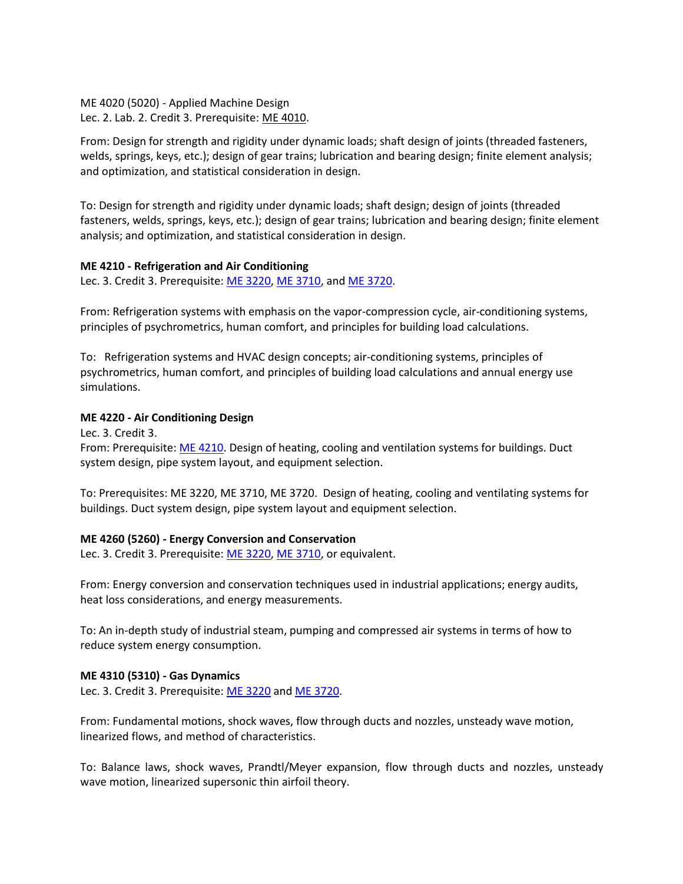ME 4020 (5020) - Applied Machine Design Lec. 2. Lab. 2. Credit 3. Prerequisite: [ME 4010.](http://catalog.tntech.edu/preview_program.php?catoid=11&poid=1143&returnto=1864#tt9116)

From: Design for strength and rigidity under dynamic loads; shaft design of joints (threaded fasteners, welds, springs, keys, etc.); design of gear trains; lubrication and bearing design; finite element analysis; and optimization, and statistical consideration in design.

To: Design for strength and rigidity under dynamic loads; shaft design; design of joints (threaded fasteners, welds, springs, keys, etc.); design of gear trains; lubrication and bearing design; finite element analysis; and optimization, and statistical consideration in design.

#### **ME 4210 - Refrigeration and Air Conditioning**

Lec. 3. Credit 3. Prerequisite: [ME 3220,](http://catalog.tntech.edu/preview_program.php?catoid=11&poid=1143&returnto=1864#tt3060) [ME 3710,](http://catalog.tntech.edu/preview_program.php?catoid=11&poid=1143&returnto=1864#tt3551) and [ME 3720.](http://catalog.tntech.edu/preview_program.php?catoid=11&poid=1143&returnto=1864#tt7923)

From: Refrigeration systems with emphasis on the vapor-compression cycle, air-conditioning systems, principles of psychrometrics, human comfort, and principles for building load calculations.

To: Refrigeration systems and HVAC design concepts; air-conditioning systems, principles of psychrometrics, human comfort, and principles of building load calculations and annual energy use simulations.

#### **ME 4220 - Air Conditioning Design**

Lec. 3. Credit 3.

From: Prerequisite[: ME 4210.](http://catalog.tntech.edu/preview_program.php?catoid=11&poid=1143&returnto=1864#tt4765) Design of heating, cooling and ventilation systems for buildings. Duct system design, pipe system layout, and equipment selection.

To: Prerequisites: ME 3220, ME 3710, ME 3720. Design of heating, cooling and ventilating systems for buildings. Duct system design, pipe system layout and equipment selection.

#### **ME 4260 (5260) - Energy Conversion and Conservation**

Lec. 3. Credit 3. Prerequisite: [ME 3220,](http://catalog.tntech.edu/preview_program.php?catoid=11&poid=1143&returnto=1864#tt1312) [ME 3710,](http://catalog.tntech.edu/preview_program.php?catoid=11&poid=1143&returnto=1864#tt2899) or equivalent.

From: Energy conversion and conservation techniques used in industrial applications; energy audits, heat loss considerations, and energy measurements.

To: An in-depth study of industrial steam, pumping and compressed air systems in terms of how to reduce system energy consumption.

#### **ME 4310 (5310) - Gas Dynamics**

Lec. 3. Credit 3. Prerequisite: [ME 3220](http://catalog.tntech.edu/preview_program.php?catoid=11&poid=1143&returnto=1864#tt3289) an[d ME 3720.](http://catalog.tntech.edu/preview_program.php?catoid=11&poid=1143&returnto=1864#tt3709)

From: Fundamental motions, shock waves, flow through ducts and nozzles, unsteady wave motion, linearized flows, and method of characteristics.

To: Balance laws, shock waves, Prandtl/Meyer expansion, flow through ducts and nozzles, unsteady wave motion, linearized supersonic thin airfoil theory.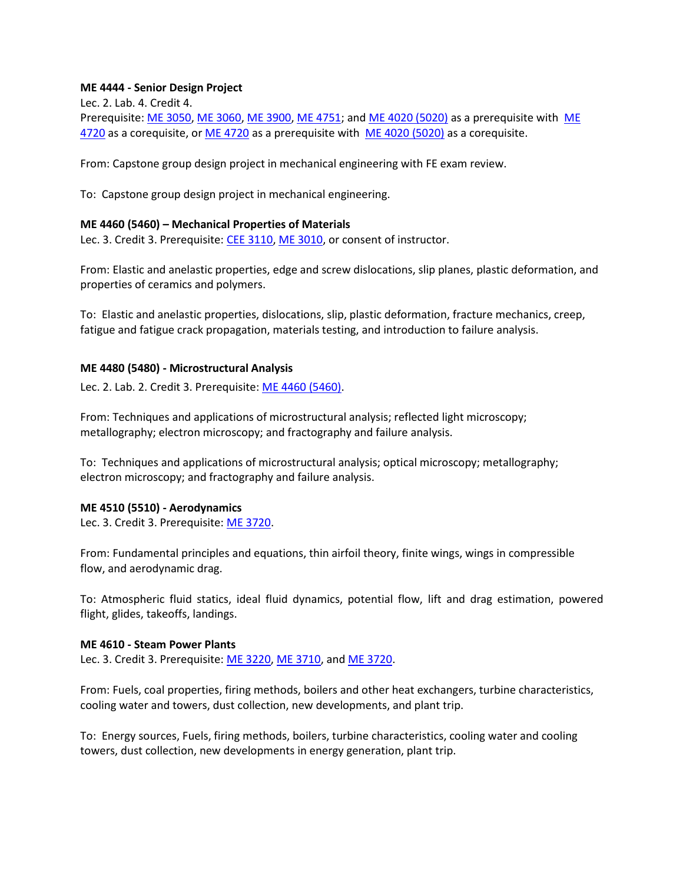#### **ME 4444 - Senior Design Project**

Lec. 2. Lab. 4. Credit 4.

Prerequisite: [ME 3050,](http://catalog.tntech.edu/preview_program.php?catoid=11&poid=1143&returnto=1864#tt9603) [ME 3060,](http://catalog.tntech.edu/preview_program.php?catoid=11&poid=1143&returnto=1864#tt8298) [ME 3900,](http://catalog.tntech.edu/preview_program.php?catoid=11&poid=1143&returnto=1864#tt2497) [ME 4751;](http://catalog.tntech.edu/preview_program.php?catoid=11&poid=1143&returnto=1864#tt3859) an[d ME 4020 \(5020\)](http://catalog.tntech.edu/preview_program.php?catoid=11&poid=1143&returnto=1864#tt2120) as a prerequisite with [ME](http://catalog.tntech.edu/preview_program.php?catoid=11&poid=1143&returnto=1864#tt435)  [4720](http://catalog.tntech.edu/preview_program.php?catoid=11&poid=1143&returnto=1864#tt435) as a corequisite, or [ME 4720](http://catalog.tntech.edu/preview_program.php?catoid=11&poid=1143&returnto=1864#tt9389) as a prerequisite with [ME 4020 \(5020\)](http://catalog.tntech.edu/preview_program.php?catoid=11&poid=1143&returnto=1864#tt4230) as a corequisite.

From: Capstone group design project in mechanical engineering with FE exam review.

To: Capstone group design project in mechanical engineering.

#### **ME 4460 (5460) – Mechanical Properties of Materials**

Lec. 3. Credit 3. Prerequisite: [CEE 3110,](http://catalog.tntech.edu/content.php?filter%5B27%5D=ME&filter%5B29%5D=&filter%5Bcourse_type%5D=-1&filter%5Bkeyword%5D=&filter%5B32%5D=1&filter%5Bcpage%5D=1&cur_cat_oid=11&expand=&navoid=1988&search_database=Filter&filter%5Bexact_match%5D=1#tt1570) [ME 3010,](http://catalog.tntech.edu/content.php?filter%5B27%5D=ME&filter%5B29%5D=&filter%5Bcourse_type%5D=-1&filter%5Bkeyword%5D=&filter%5B32%5D=1&filter%5Bcpage%5D=1&cur_cat_oid=11&expand=&navoid=1988&search_database=Filter&filter%5Bexact_match%5D=1#tt0) or consent of instructor.

From: Elastic and anelastic properties, edge and screw dislocations, slip planes, plastic deformation, and properties of ceramics and polymers.

To: Elastic and anelastic properties, dislocations, slip, plastic deformation, fracture mechanics, creep, fatigue and fatigue crack propagation, materials testing, and introduction to failure analysis.

#### **ME 4480 (5480) - Microstructural Analysis**

Lec. 2. Lab. 2. Credit 3. Prerequisite: [ME 4460 \(5460\).](http://catalog.tntech.edu/content.php?filter%5B27%5D=ME&filter%5B29%5D=&filter%5Bcourse_type%5D=-1&filter%5Bkeyword%5D=&filter%5B32%5D=1&filter%5Bcpage%5D=1&cur_cat_oid=11&expand=&navoid=1988&search_database=Filter&filter%5Bexact_match%5D=1#tt5046)

From: Techniques and applications of microstructural analysis; reflected light microscopy; metallography; electron microscopy; and fractography and failure analysis.

To: Techniques and applications of microstructural analysis; optical microscopy; metallography; electron microscopy; and fractography and failure analysis.

#### **ME 4510 (5510) - Aerodynamics**

Lec. 3. Credit 3. Prerequisite: [ME 3720.](http://catalog.tntech.edu/preview_program.php?catoid=11&poid=1143&returnto=1864#tt2976)

From: Fundamental principles and equations, thin airfoil theory, finite wings, wings in compressible flow, and aerodynamic drag.

To: Atmospheric fluid statics, ideal fluid dynamics, potential flow, lift and drag estimation, powered flight, glides, takeoffs, landings.

#### **ME 4610 - Steam Power Plants**

Lec. 3. Credit 3. Prerequisite: [ME 3220,](http://catalog.tntech.edu/preview_program.php?catoid=11&poid=1143&returnto=1864#tt8519) [ME 3710,](http://catalog.tntech.edu/preview_program.php?catoid=11&poid=1143&returnto=1864#tt984) and [ME 3720.](http://catalog.tntech.edu/preview_program.php?catoid=11&poid=1143&returnto=1864#tt2775)

From: Fuels, coal properties, firing methods, boilers and other heat exchangers, turbine characteristics, cooling water and towers, dust collection, new developments, and plant trip.

To: Energy sources, Fuels, firing methods, boilers, turbine characteristics, cooling water and cooling towers, dust collection, new developments in energy generation, plant trip.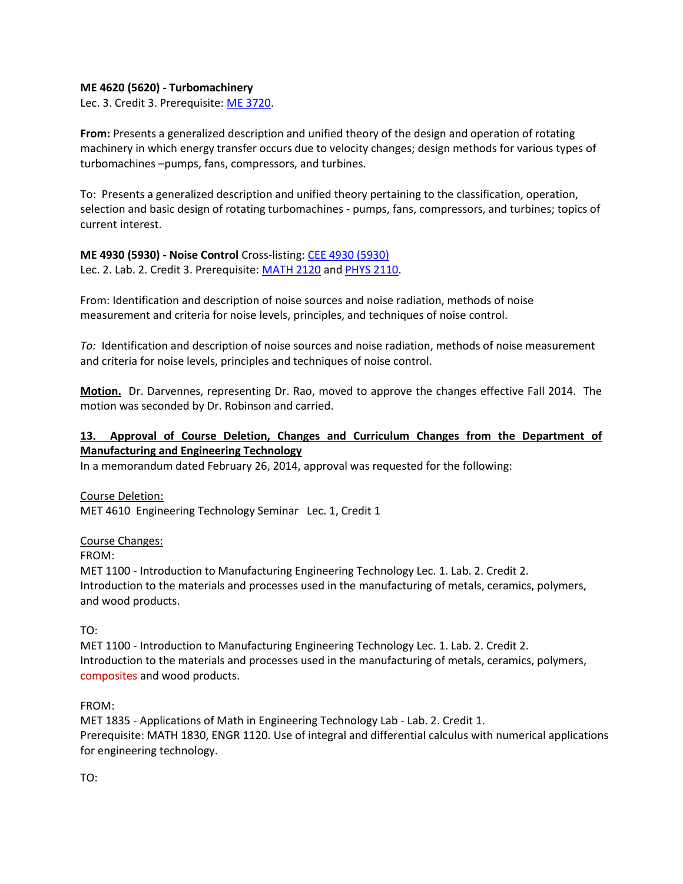#### **ME 4620 (5620) - Turbomachinery**

Lec. 3. Credit 3. Prerequisite: [ME 3720.](http://catalog.tntech.edu/preview_program.php?catoid=11&poid=1143&returnto=1864#tt7304)

**From:** Presents a generalized description and unified theory of the design and operation of rotating machinery in which energy transfer occurs due to velocity changes; design methods for various types of turbomachines –pumps, fans, compressors, and turbines.

To: Presents a generalized description and unified theory pertaining to the classification, operation, selection and basic design of rotating turbomachines - pumps, fans, compressors, and turbines; topics of current interest.

# **ME 4930 (5930) - Noise Control** Cross-listing: [CEE 4930 \(5930\)](http://catalog.tntech.edu/preview_program.php?catoid=11&poid=1143&returnto=1864#tt8745)

Lec. 2. Lab. 2. Credit 3. Prerequisite: [MATH 2120](http://catalog.tntech.edu/preview_program.php?catoid=11&poid=1143&returnto=1864#tt5786) an[d PHYS 2110.](http://catalog.tntech.edu/preview_program.php?catoid=11&poid=1143&returnto=1864#tt6858)

From: Identification and description of noise sources and noise radiation, methods of noise measurement and criteria for noise levels, principles, and techniques of noise control.

*To:* Identification and description of noise sources and noise radiation, methods of noise measurement and criteria for noise levels, principles and techniques of noise control.

**Motion.** Dr. Darvennes, representing Dr. Rao, moved to approve the changes effective Fall 2014. The motion was seconded by Dr. Robinson and carried.

## **13. Approval of Course Deletion, Changes and Curriculum Changes from the Department of Manufacturing and Engineering Technology**

In a memorandum dated February 26, 2014, approval was requested for the following:

Course Deletion: MET 4610 Engineering Technology Seminar Lec. 1, Credit 1

#### Course Changes:

FROM:

MET 1100 - Introduction to Manufacturing Engineering Technology Lec. 1. Lab. 2. Credit 2. Introduction to the materials and processes used in the manufacturing of metals, ceramics, polymers, and wood products.

#### TO:

MET 1100 - Introduction to Manufacturing Engineering Technology Lec. 1. Lab. 2. Credit 2. Introduction to the materials and processes used in the manufacturing of metals, ceramics, polymers, composites and wood products.

#### FROM:

MET 1835 - Applications of Math in Engineering Technology Lab - Lab. 2. Credit 1. Prerequisite: MATH 1830, ENGR 1120. Use of integral and differential calculus with numerical applications for engineering technology.

TO: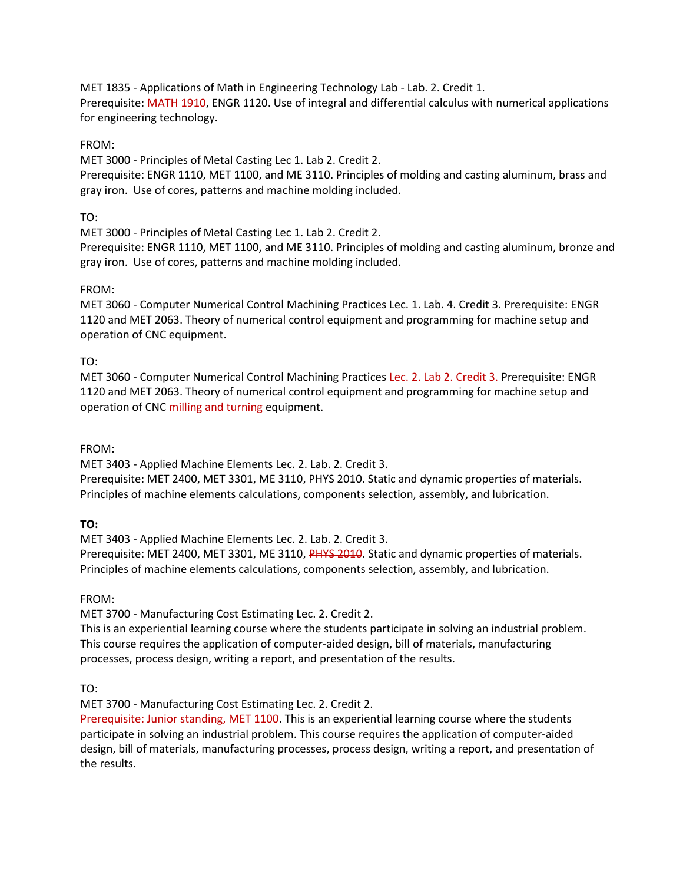MET 1835 - Applications of Math in Engineering Technology Lab - Lab. 2. Credit 1. Prerequisite: MATH 1910, ENGR 1120. Use of integral and differential calculus with numerical applications for engineering technology.

## FROM:

MET 3000 - Principles of Metal Casting Lec 1. Lab 2. Credit 2.

Prerequisite: ENGR 1110, MET 1100, and ME 3110. Principles of molding and casting aluminum, brass and gray iron. Use of cores, patterns and machine molding included.

## TO:

MET 3000 - Principles of Metal Casting Lec 1. Lab 2. Credit 2.

Prerequisite: ENGR 1110, MET 1100, and ME 3110. Principles of molding and casting aluminum, bronze and gray iron. Use of cores, patterns and machine molding included.

## FROM:

MET 3060 - Computer Numerical Control Machining Practices Lec. 1. Lab. 4. Credit 3. Prerequisite: ENGR 1120 and MET 2063. Theory of numerical control equipment and programming for machine setup and operation of CNC equipment.

## TO:

MET 3060 - Computer Numerical Control Machining Practices Lec. 2. Lab 2. Credit 3. Prerequisite: ENGR 1120 and MET 2063. Theory of numerical control equipment and programming for machine setup and operation of CNC milling and turning equipment.

#### FROM:

MET 3403 - Applied Machine Elements Lec. 2. Lab. 2. Credit 3.

Prerequisite: MET 2400, MET 3301, ME 3110, PHYS 2010. Static and dynamic properties of materials. Principles of machine elements calculations, components selection, assembly, and lubrication.

#### **TO:**

MET 3403 - Applied Machine Elements Lec. 2. Lab. 2. Credit 3.

Prerequisite: MET 2400, MET 3301, ME 3110, PHYS 2010. Static and dynamic properties of materials. Principles of machine elements calculations, components selection, assembly, and lubrication.

#### FROM:

MET 3700 - Manufacturing Cost Estimating Lec. 2. Credit 2.

This is an experiential learning course where the students participate in solving an industrial problem. This course requires the application of computer-aided design, bill of materials, manufacturing processes, process design, writing a report, and presentation of the results.

TO:

MET 3700 - Manufacturing Cost Estimating Lec. 2. Credit 2.

Prerequisite: Junior standing, MET 1100. This is an experiential learning course where the students participate in solving an industrial problem. This course requires the application of computer-aided design, bill of materials, manufacturing processes, process design, writing a report, and presentation of the results.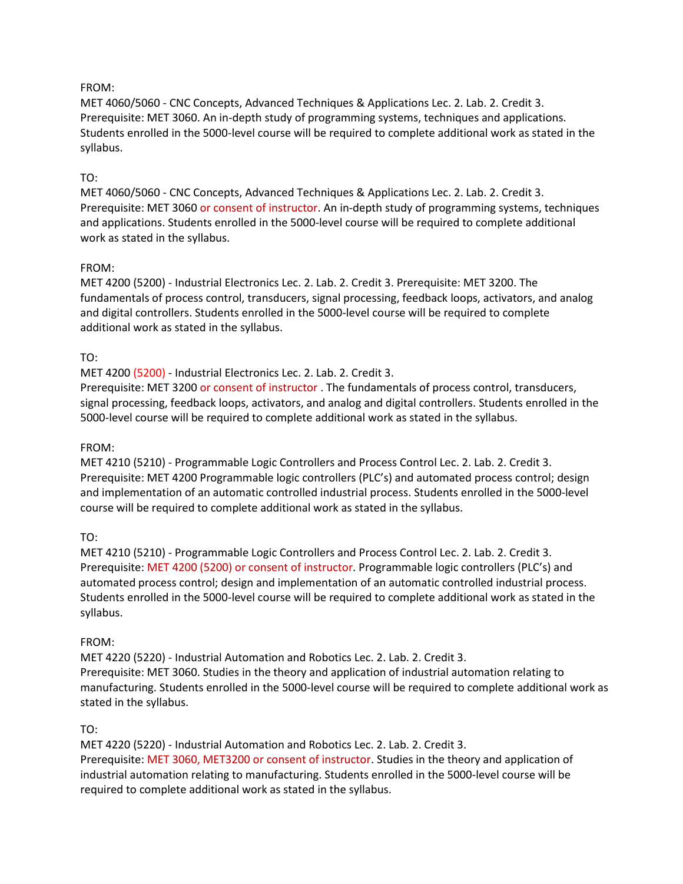#### FROM:

MET 4060/5060 - CNC Concepts, Advanced Techniques & Applications Lec. 2. Lab. 2. Credit 3. Prerequisite: MET 3060. An in-depth study of programming systems, techniques and applications. Students enrolled in the 5000-level course will be required to complete additional work as stated in the syllabus.

## TO:

MET 4060/5060 - CNC Concepts, Advanced Techniques & Applications Lec. 2. Lab. 2. Credit 3. Prerequisite: MET 3060 or consent of instructor. An in-depth study of programming systems, techniques and applications. Students enrolled in the 5000-level course will be required to complete additional work as stated in the syllabus.

#### FROM:

MET 4200 (5200) - Industrial Electronics Lec. 2. Lab. 2. Credit 3. Prerequisite: MET 3200. The fundamentals of process control, transducers, signal processing, feedback loops, activators, and analog and digital controllers. Students enrolled in the 5000-level course will be required to complete additional work as stated in the syllabus.

## TO:

MET 4200 (5200) - Industrial Electronics Lec. 2. Lab. 2. Credit 3.

Prerequisite: MET 3200 or consent of instructor . The fundamentals of process control, transducers, signal processing, feedback loops, activators, and analog and digital controllers. Students enrolled in the 5000-level course will be required to complete additional work as stated in the syllabus.

#### FROM:

MET 4210 (5210) - Programmable Logic Controllers and Process Control Lec. 2. Lab. 2. Credit 3. Prerequisite: MET 4200 Programmable logic controllers (PLC's) and automated process control; design and implementation of an automatic controlled industrial process. Students enrolled in the 5000-level course will be required to complete additional work as stated in the syllabus.

#### TO:

MET 4210 (5210) - Programmable Logic Controllers and Process Control Lec. 2. Lab. 2. Credit 3. Prerequisite: MET 4200 (5200) or consent of instructor. Programmable logic controllers (PLC's) and automated process control; design and implementation of an automatic controlled industrial process. Students enrolled in the 5000-level course will be required to complete additional work as stated in the syllabus.

#### FROM:

MET 4220 (5220) - Industrial Automation and Robotics Lec. 2. Lab. 2. Credit 3. Prerequisite: MET 3060. Studies in the theory and application of industrial automation relating to manufacturing. Students enrolled in the 5000-level course will be required to complete additional work as stated in the syllabus.

#### TO:

MET 4220 (5220) - Industrial Automation and Robotics Lec. 2. Lab. 2. Credit 3. Prerequisite: MET 3060, MET3200 or consent of instructor. Studies in the theory and application of industrial automation relating to manufacturing. Students enrolled in the 5000-level course will be required to complete additional work as stated in the syllabus.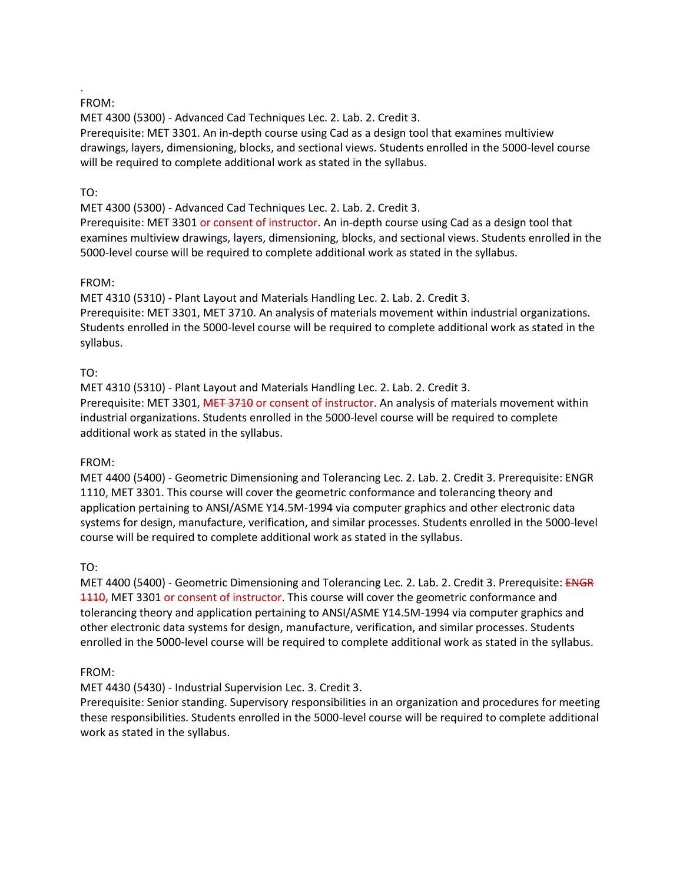#### . FROM:

MET 4300 (5300) - Advanced Cad Techniques Lec. 2. Lab. 2. Credit 3. Prerequisite: MET 3301. An in-depth course using Cad as a design tool that examines multiview drawings, layers, dimensioning, blocks, and sectional views. Students enrolled in the 5000-level course will be required to complete additional work as stated in the syllabus.

#### TO:

MET 4300 (5300) - Advanced Cad Techniques Lec. 2. Lab. 2. Credit 3.

Prerequisite: MET 3301 or consent of instructor. An in-depth course using Cad as a design tool that examines multiview drawings, layers, dimensioning, blocks, and sectional views. Students enrolled in the 5000-level course will be required to complete additional work as stated in the syllabus.

## FROM:

MET 4310 (5310) - Plant Layout and Materials Handling Lec. 2. Lab. 2. Credit 3. Prerequisite: MET 3301, MET 3710. An analysis of materials movement within industrial organizations. Students enrolled in the 5000-level course will be required to complete additional work as stated in the syllabus.

## TO:

MET 4310 (5310) - Plant Layout and Materials Handling Lec. 2. Lab. 2. Credit 3. Prerequisite: MET 3301, MET 3710 or consent of instructor. An analysis of materials movement within industrial organizations. Students enrolled in the 5000-level course will be required to complete additional work as stated in the syllabus.

#### FROM:

MET 4400 (5400) - Geometric Dimensioning and Tolerancing Lec. 2. Lab. 2. Credit 3. Prerequisite: ENGR 1110, MET 3301. This course will cover the geometric conformance and tolerancing theory and application pertaining to ANSI/ASME Y14.5M-1994 via computer graphics and other electronic data systems for design, manufacture, verification, and similar processes. Students enrolled in the 5000-level course will be required to complete additional work as stated in the syllabus.

#### TO:

MET 4400 (5400) - Geometric Dimensioning and Tolerancing Lec. 2. Lab. 2. Credit 3. Prerequisite: ENGR 1110, MET 3301 or consent of instructor. This course will cover the geometric conformance and tolerancing theory and application pertaining to ANSI/ASME Y14.5M-1994 via computer graphics and other electronic data systems for design, manufacture, verification, and similar processes. Students enrolled in the 5000-level course will be required to complete additional work as stated in the syllabus.

## FROM:

MET 4430 (5430) - Industrial Supervision Lec. 3. Credit 3.

Prerequisite: Senior standing. Supervisory responsibilities in an organization and procedures for meeting these responsibilities. Students enrolled in the 5000-level course will be required to complete additional work as stated in the syllabus.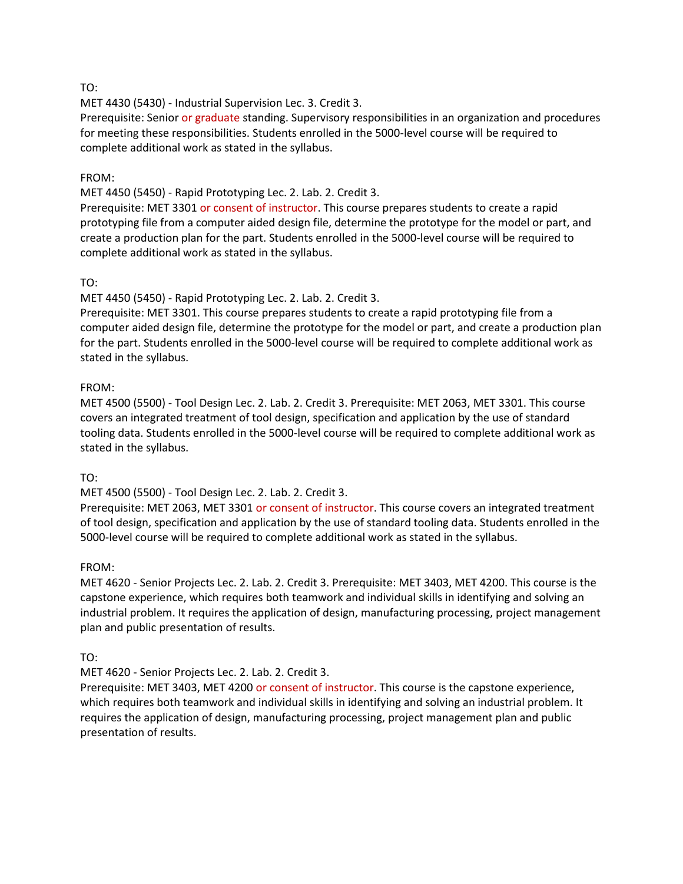#### TO:

MET 4430 (5430) - Industrial Supervision Lec. 3. Credit 3.

Prerequisite: Senior or graduate standing. Supervisory responsibilities in an organization and procedures for meeting these responsibilities. Students enrolled in the 5000-level course will be required to complete additional work as stated in the syllabus.

#### FROM:

MET 4450 (5450) - Rapid Prototyping Lec. 2. Lab. 2. Credit 3.

Prerequisite: MET 3301 or consent of instructor. This course prepares students to create a rapid prototyping file from a computer aided design file, determine the prototype for the model or part, and create a production plan for the part. Students enrolled in the 5000-level course will be required to complete additional work as stated in the syllabus.

## TO:

MET 4450 (5450) - Rapid Prototyping Lec. 2. Lab. 2. Credit 3.

Prerequisite: MET 3301. This course prepares students to create a rapid prototyping file from a computer aided design file, determine the prototype for the model or part, and create a production plan for the part. Students enrolled in the 5000-level course will be required to complete additional work as stated in the syllabus.

## FROM:

MET 4500 (5500) - Tool Design Lec. 2. Lab. 2. Credit 3. Prerequisite: MET 2063, MET 3301. This course covers an integrated treatment of tool design, specification and application by the use of standard tooling data. Students enrolled in the 5000-level course will be required to complete additional work as stated in the syllabus.

#### TO:

MET 4500 (5500) - Tool Design Lec. 2. Lab. 2. Credit 3.

Prerequisite: MET 2063, MET 3301 or consent of instructor. This course covers an integrated treatment of tool design, specification and application by the use of standard tooling data. Students enrolled in the 5000-level course will be required to complete additional work as stated in the syllabus.

#### FROM:

MET 4620 - Senior Projects Lec. 2. Lab. 2. Credit 3. Prerequisite: MET 3403, MET 4200. This course is the capstone experience, which requires both teamwork and individual skills in identifying and solving an industrial problem. It requires the application of design, manufacturing processing, project management plan and public presentation of results.

#### TO:

MET 4620 - Senior Projects Lec. 2. Lab. 2. Credit 3.

Prerequisite: MET 3403, MET 4200 or consent of instructor. This course is the capstone experience, which requires both teamwork and individual skills in identifying and solving an industrial problem. It requires the application of design, manufacturing processing, project management plan and public presentation of results.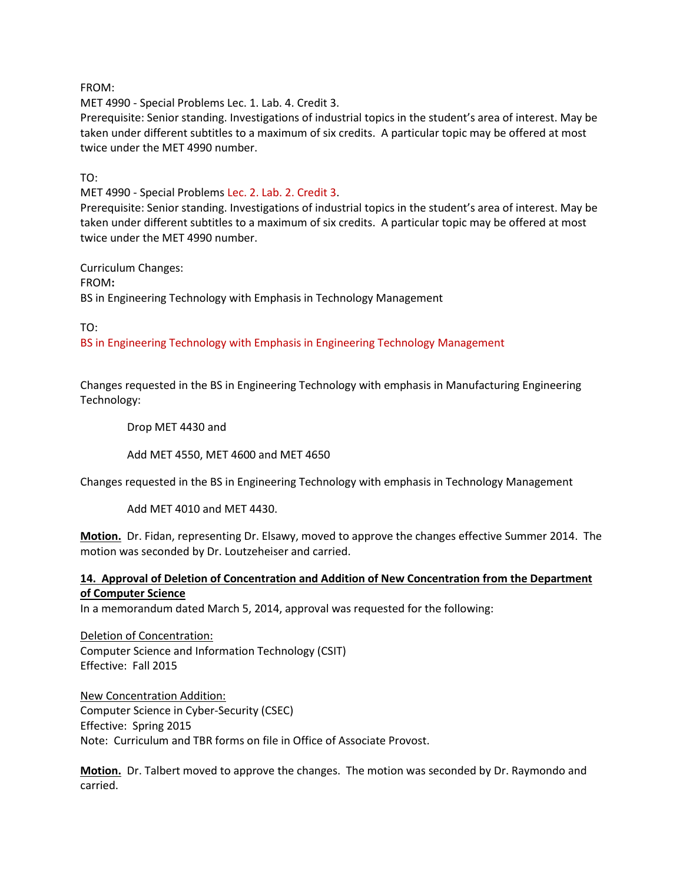FROM:

MET 4990 - Special Problems Lec. 1. Lab. 4. Credit 3.

Prerequisite: Senior standing. Investigations of industrial topics in the student's area of interest. May be taken under different subtitles to a maximum of six credits. A particular topic may be offered at most twice under the MET 4990 number.

TO:

MET 4990 - Special Problems Lec. 2. Lab. 2. Credit 3.

Prerequisite: Senior standing. Investigations of industrial topics in the student's area of interest. May be taken under different subtitles to a maximum of six credits. A particular topic may be offered at most twice under the MET 4990 number.

Curriculum Changes: FROM**:** BS in Engineering Technology with Emphasis in Technology Management

TO:

BS in Engineering Technology with Emphasis in Engineering Technology Management

Changes requested in the BS in Engineering Technology with emphasis in Manufacturing Engineering Technology:

Drop MET 4430 and

Add MET 4550, MET 4600 and MET 4650

Changes requested in the BS in Engineering Technology with emphasis in Technology Management

Add MET 4010 and MET 4430.

**Motion.** Dr. Fidan, representing Dr. Elsawy, moved to approve the changes effective Summer 2014. The motion was seconded by Dr. Loutzeheiser and carried.

## **14. Approval of Deletion of Concentration and Addition of New Concentration from the Department of Computer Science**

In a memorandum dated March 5, 2014, approval was requested for the following:

Deletion of Concentration: Computer Science and Information Technology (CSIT) Effective: Fall 2015

New Concentration Addition: Computer Science in Cyber-Security (CSEC) Effective: Spring 2015 Note: Curriculum and TBR forms on file in Office of Associate Provost.

**Motion.** Dr. Talbert moved to approve the changes. The motion was seconded by Dr. Raymondo and carried.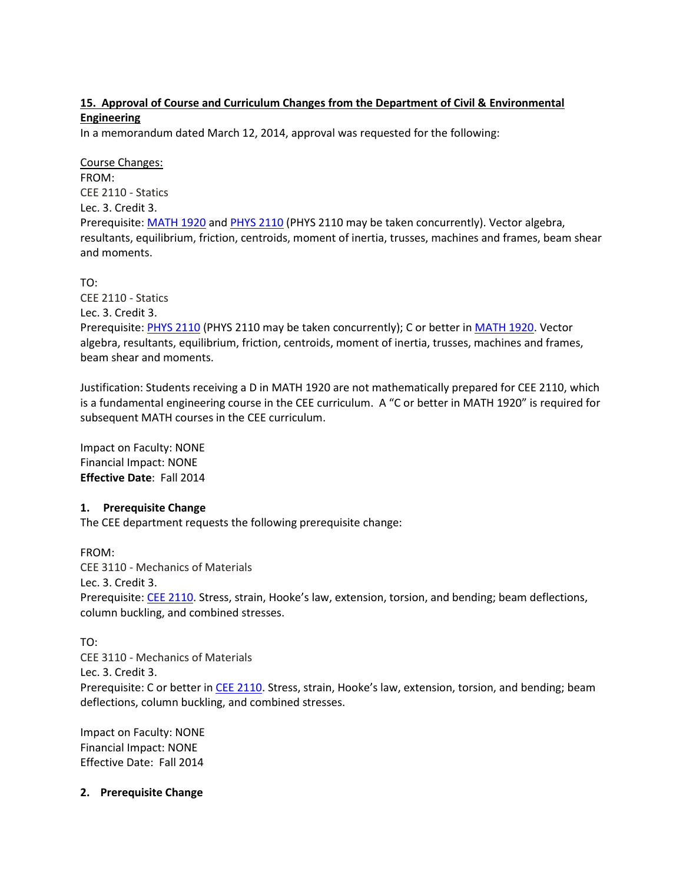## **15. Approval of Course and Curriculum Changes from the Department of Civil & Environmental Engineering**

In a memorandum dated March 12, 2014, approval was requested for the following:

Course Changes: FROM: CEE 2110 - Statics Lec. 3. Credit 3. Prerequisite: [MATH 1920](http://catalog.tntech.edu/content.php?filter%5B27%5D=CEE&filter%5B29%5D=&filter%5Bcourse_type%5D=-1&filter%5Bkeyword%5D=&filter%5B32%5D=1&filter%5Bcpage%5D=1&cur_cat_oid=11&expand=&navoid=1988&search_database=Filter&filter%5Bexact_match%5D=1#tt1423) and [PHYS 2110](http://catalog.tntech.edu/content.php?filter%5B27%5D=CEE&filter%5B29%5D=&filter%5Bcourse_type%5D=-1&filter%5Bkeyword%5D=&filter%5B32%5D=1&filter%5Bcpage%5D=1&cur_cat_oid=11&expand=&navoid=1988&search_database=Filter&filter%5Bexact_match%5D=1#tt9742) (PHYS 2110 may be taken concurrently). Vector algebra, resultants, equilibrium, friction, centroids, moment of inertia, trusses, machines and frames, beam shear and moments.

TO:

CEE 2110 - Statics Lec. 3. Credit 3. Prerequisite: [PHYS 2110](http://catalog.tntech.edu/content.php?filter%5B27%5D=CEE&filter%5B29%5D=&filter%5Bcourse_type%5D=-1&filter%5Bkeyword%5D=&filter%5B32%5D=1&filter%5Bcpage%5D=1&cur_cat_oid=11&expand=&navoid=1988&search_database=Filter&filter%5Bexact_match%5D=1#tt9742) (PHYS 2110 may be taken concurrently); C or better in [MATH 1920.](http://catalog.tntech.edu/content.php?filter%5B27%5D=CEE&filter%5B29%5D=&filter%5Bcourse_type%5D=-1&filter%5Bkeyword%5D=&filter%5B32%5D=1&filter%5Bcpage%5D=1&cur_cat_oid=11&expand=&navoid=1988&search_database=Filter&filter%5Bexact_match%5D=1#tt1423) Vector algebra, resultants, equilibrium, friction, centroids, moment of inertia, trusses, machines and frames, beam shear and moments.

Justification: Students receiving a D in MATH 1920 are not mathematically prepared for CEE 2110, which is a fundamental engineering course in the CEE curriculum. A "C or better in MATH 1920" is required for subsequent MATH courses in the CEE curriculum.

Impact on Faculty: NONE Financial Impact: NONE **Effective Date**: Fall 2014

#### **1. Prerequisite Change**

The CEE department requests the following prerequisite change:

FROM: CEE 3110 - Mechanics of Materials Lec. 3. Credit 3. Prerequisite: [CEE 2110](http://catalog.tntech.edu/content.php?filter%5B27%5D=CEE&filter%5B29%5D=&filter%5Bcourse_type%5D=-1&filter%5Bkeyword%5D=&filter%5B32%5D=1&filter%5Bcpage%5D=1&cur_cat_oid=11&expand=&navoid=1988&search_database=Filter&filter%5Bexact_match%5D=1#tt8013). Stress, strain, Hooke's law, extension, torsion, and bending; beam deflections, column buckling, and combined stresses.

TO:

CEE 3110 - Mechanics of Materials Lec. 3. Credit 3. Prerequisite: C or better i[n CEE 2110](http://catalog.tntech.edu/content.php?filter%5B27%5D=CEE&filter%5B29%5D=&filter%5Bcourse_type%5D=-1&filter%5Bkeyword%5D=&filter%5B32%5D=1&filter%5Bcpage%5D=1&cur_cat_oid=11&expand=&navoid=1988&search_database=Filter&filter%5Bexact_match%5D=1#tt8013). Stress, strain, Hooke's law, extension, torsion, and bending; beam deflections, column buckling, and combined stresses.

Impact on Faculty: NONE Financial Impact: NONE Effective Date: Fall 2014

**2. Prerequisite Change**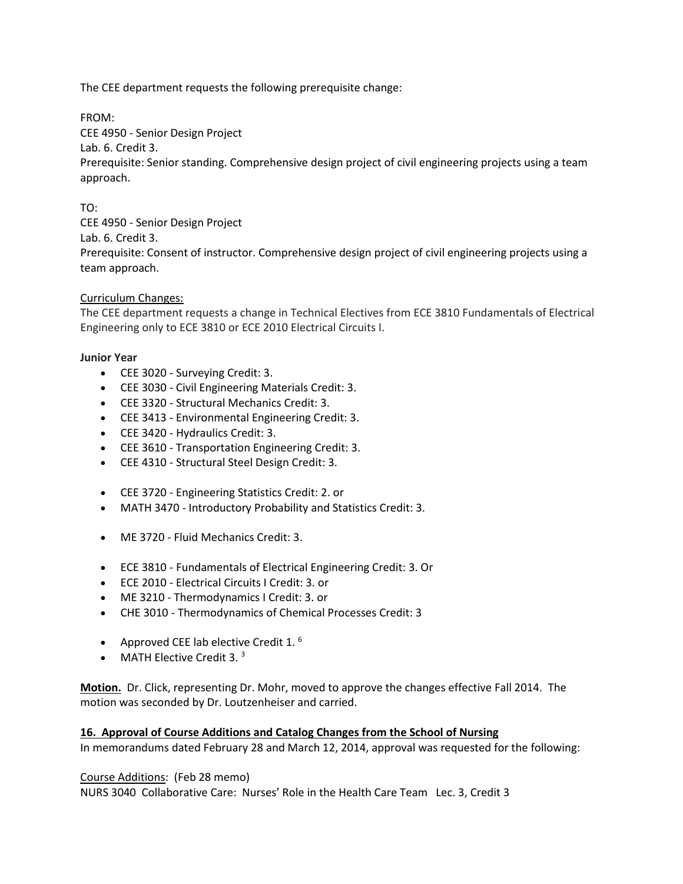The CEE department requests the following prerequisite change:

FROM:

CEE 4950 - Senior Design Project

Lab. 6. Credit 3.

Prerequisite: Senior standing. Comprehensive design project of civil engineering projects using a team approach.

TO:

CEE 4950 - Senior Design Project Lab. 6. Credit 3. Prerequisite: Consent of instructor. Comprehensive design project of civil engineering projects using a team approach.

#### Curriculum Changes:

The CEE department requests a change in Technical Electives from ECE 3810 Fundamentals of Electrical Engineering only to ECE 3810 or ECE 2010 Electrical Circuits I.

#### **Junior Year**

- CEE 3020 Surveying Credit: 3.
- CEE 3030 Civil Engineering Materials Credit: 3.
- CEE 3320 Structural Mechanics Credit: 3.
- CEE 3413 Environmental Engineering Credit: 3.
- CEE 3420 Hydraulics Credit: 3.
- CEE 3610 Transportation Engineering Credit: 3.
- CEE 4310 Structural Steel Design Credit: 3.
- CEE 3720 Engineering Statistics Credit: 2. or
- MATH 3470 Introductory Probability and Statistics Credit: 3.
- ME 3720 Fluid Mechanics Credit: 3.
- ECE 3810 Fundamentals of Electrical Engineering Credit: 3. Or
- ECE 2010 Electrical Circuits I Credit: 3. or
- ME 3210 Thermodynamics I Credit: 3. or
- CHE 3010 Thermodynamics of Chemical Processes Credit: 3
- Approved CEE lab elective Credit 1. $<sup>6</sup>$ </sup>
- MATH Elective Credit 3. $3$

**Motion.** Dr. Click, representing Dr. Mohr, moved to approve the changes effective Fall 2014. The motion was seconded by Dr. Loutzenheiser and carried.

#### **16. Approval of Course Additions and Catalog Changes from the School of Nursing**

In memorandums dated February 28 and March 12, 2014, approval was requested for the following:

#### Course Additions: (Feb 28 memo)

NURS 3040 Collaborative Care: Nurses' Role in the Health Care Team Lec. 3, Credit 3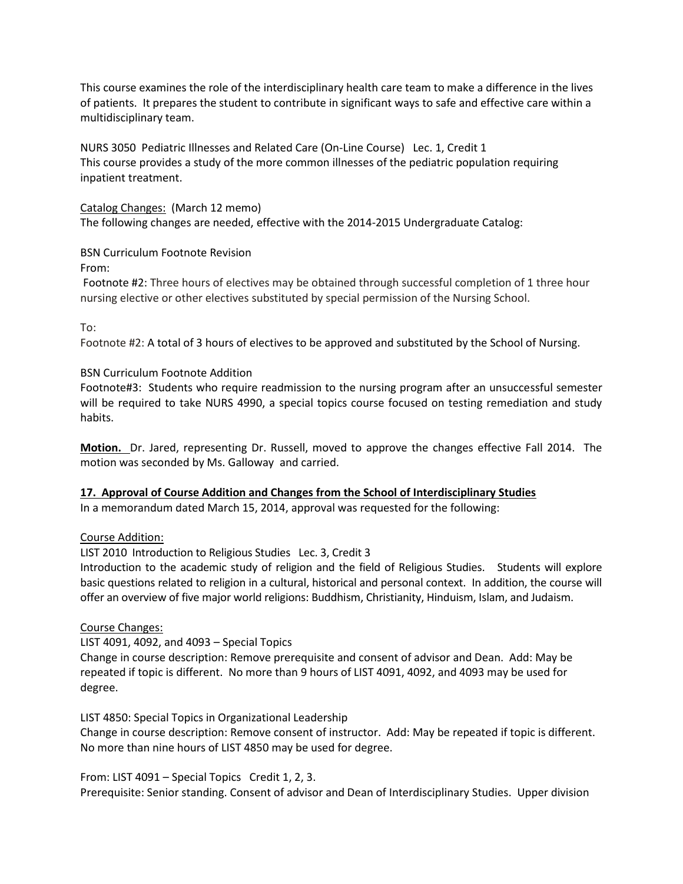This course examines the role of the interdisciplinary health care team to make a difference in the lives of patients. It prepares the student to contribute in significant ways to safe and effective care within a multidisciplinary team.

NURS 3050 Pediatric Illnesses and Related Care (On-Line Course) Lec. 1, Credit 1 This course provides a study of the more common illnesses of the pediatric population requiring inpatient treatment.

Catalog Changes: (March 12 memo) The following changes are needed, effective with the 2014-2015 Undergraduate Catalog:

BSN Curriculum Footnote Revision

From:

Footnote #2: Three hours of electives may be obtained through successful completion of 1 three hour nursing elective or other electives substituted by special permission of the Nursing School.

To:

Footnote #2: A total of 3 hours of electives to be approved and substituted by the School of Nursing.

#### BSN Curriculum Footnote Addition

Footnote#3: Students who require readmission to the nursing program after an unsuccessful semester will be required to take NURS 4990, a special topics course focused on testing remediation and study habits.

**Motion.** Dr. Jared, representing Dr. Russell, moved to approve the changes effective Fall 2014. The motion was seconded by Ms. Galloway and carried.

#### **17. Approval of Course Addition and Changes from the School of Interdisciplinary Studies**

In a memorandum dated March 15, 2014, approval was requested for the following:

#### Course Addition:

LIST 2010 Introduction to Religious Studies Lec. 3, Credit 3

Introduction to the academic study of religion and the field of Religious Studies. Students will explore basic questions related to religion in a cultural, historical and personal context. In addition, the course will offer an overview of five major world religions: Buddhism, Christianity, Hinduism, Islam, and Judaism.

#### Course Changes:

LIST 4091, 4092, and 4093 – Special Topics

Change in course description: Remove prerequisite and consent of advisor and Dean. Add: May be repeated if topic is different. No more than 9 hours of LIST 4091, 4092, and 4093 may be used for degree.

LIST 4850: Special Topics in Organizational Leadership

Change in course description: Remove consent of instructor. Add: May be repeated if topic is different. No more than nine hours of LIST 4850 may be used for degree.

#### From: LIST 4091 – Special TopicsCredit 1, 2, 3.

Prerequisite: Senior standing. Consent of advisor and Dean of Interdisciplinary Studies. Upper division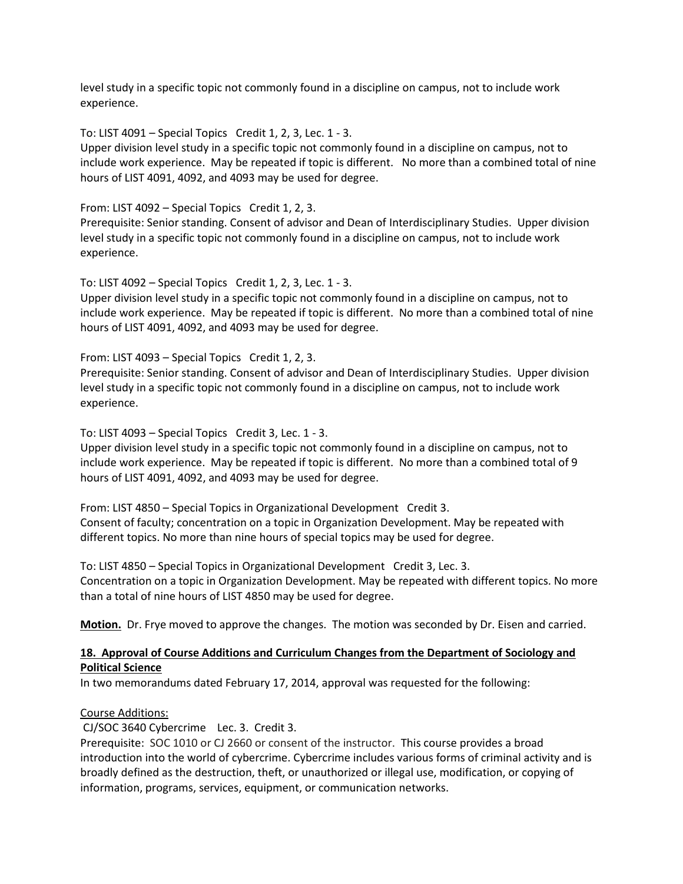level study in a specific topic not commonly found in a discipline on campus, not to include work experience.

To: LIST 4091 – Special TopicsCredit 1, 2, 3, Lec. 1 - 3.

Upper division level study in a specific topic not commonly found in a discipline on campus, not to include work experience. May be repeated if topic is different. No more than a combined total of nine hours of LIST 4091, 4092, and 4093 may be used for degree.

From: LIST 4092 – Special TopicsCredit 1, 2, 3.

Prerequisite: Senior standing. Consent of advisor and Dean of Interdisciplinary Studies. Upper division level study in a specific topic not commonly found in a discipline on campus, not to include work experience.

To: LIST 4092 – Special TopicsCredit 1, 2, 3, Lec. 1 - 3.

Upper division level study in a specific topic not commonly found in a discipline on campus, not to include work experience. May be repeated if topic is different. No more than a combined total of nine hours of LIST 4091, 4092, and 4093 may be used for degree.

From: LIST 4093 – Special TopicsCredit 1, 2, 3.

Prerequisite: Senior standing. Consent of advisor and Dean of Interdisciplinary Studies. Upper division level study in a specific topic not commonly found in a discipline on campus, not to include work experience.

To: LIST 4093 – Special TopicsCredit 3, Lec. 1 - 3.

Upper division level study in a specific topic not commonly found in a discipline on campus, not to include work experience. May be repeated if topic is different. No more than a combined total of 9 hours of LIST 4091, 4092, and 4093 may be used for degree.

From: LIST 4850 – Special Topics in Organizational Development Credit 3. Consent of faculty; concentration on a topic in Organization Development. May be repeated with different topics. No more than nine hours of special topics may be used for degree.

To: LIST 4850 – Special Topics in Organizational DevelopmentCredit 3, Lec. 3. Concentration on a topic in Organization Development. May be repeated with different topics. No more than a total of nine hours of LIST 4850 may be used for degree.

**Motion.** Dr. Frye moved to approve the changes. The motion was seconded by Dr. Eisen and carried.

## **18. Approval of Course Additions and Curriculum Changes from the Department of Sociology and Political Science**

In two memorandums dated February 17, 2014, approval was requested for the following:

#### Course Additions:

CJ/SOC 3640 Cybercrime Lec. 3. Credit 3.

Prerequisite: SOC 1010 or CJ 2660 or consent of the instructor. This course provides a broad introduction into the world of cybercrime. Cybercrime includes various forms of criminal activity and is broadly defined as the destruction, theft, or unauthorized or illegal use, modification, or copying of information, programs, services, equipment, or communication networks.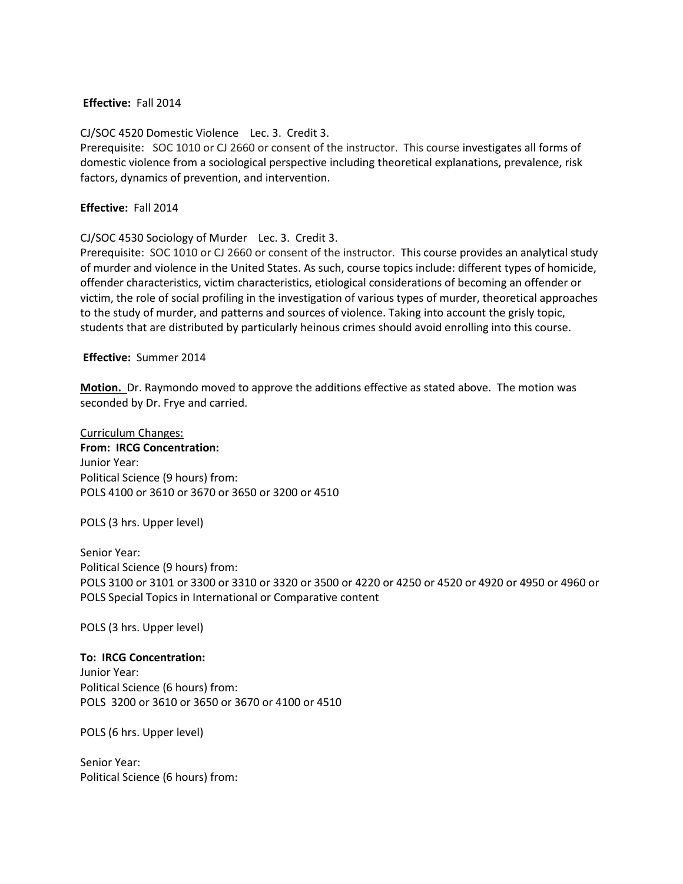#### **Effective:** Fall 2014

CJ/SOC 4520 Domestic Violence Lec. 3. Credit 3. Prerequisite: SOC 1010 or CJ 2660 or consent of the instructor. This course investigates all forms of domestic violence from a sociological perspective including theoretical explanations, prevalence, risk factors, dynamics of prevention, and intervention.

#### **Effective:** Fall 2014

CJ/SOC 4530 Sociology of Murder Lec. 3. Credit 3.

Prerequisite: SOC 1010 or CJ 2660 or consent of the instructor. This course provides an analytical study of murder and violence in the United States. As such, course topics include: different types of homicide, offender characteristics, victim characteristics, etiological considerations of becoming an offender or victim, the role of social profiling in the investigation of various types of murder, theoretical approaches to the study of murder, and patterns and sources of violence. Taking into account the grisly topic, students that are distributed by particularly heinous crimes should avoid enrolling into this course.

#### **Effective:** Summer 2014

**Motion.** Dr. Raymondo moved to approve the additions effective as stated above. The motion was seconded by Dr. Frye and carried.

Curriculum Changes: **From: IRCG Concentration:** Junior Year: Political Science (9 hours) from: POLS 4100 or 3610 or 3670 or 3650 or 3200 or 4510

POLS (3 hrs. Upper level)

Senior Year: Political Science (9 hours) from: POLS 3100 or 3101 or 3300 or 3310 or 3320 or 3500 or 4220 or 4250 or 4520 or 4920 or 4950 or 4960 or POLS Special Topics in International or Comparative content

POLS (3 hrs. Upper level)

#### **To: IRCG Concentration:**

Junior Year: Political Science (6 hours) from: POLS 3200 or 3610 or 3650 or 3670 or 4100 or 4510

POLS (6 hrs. Upper level)

Senior Year: Political Science (6 hours) from: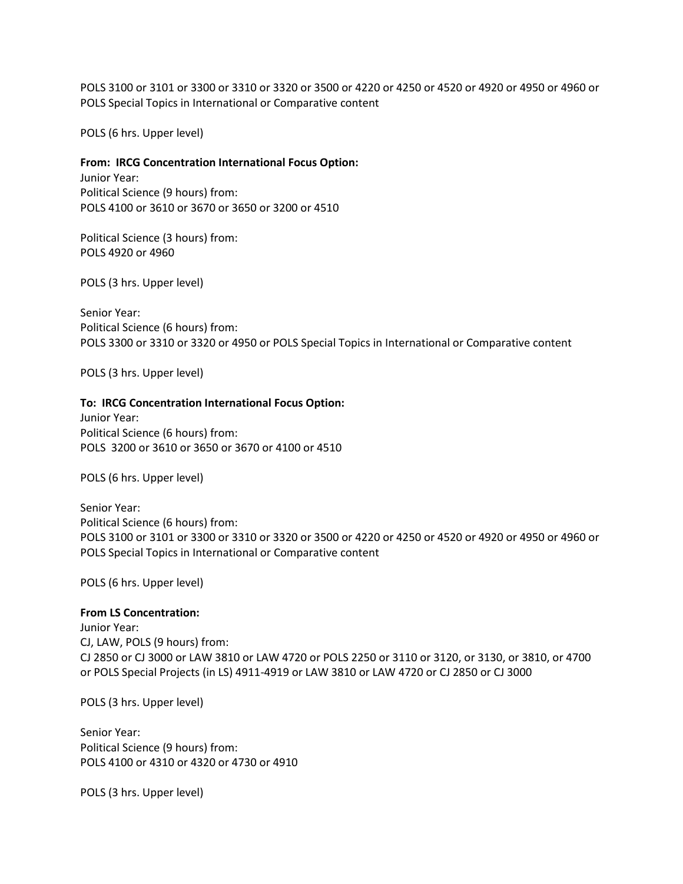POLS 3100 or 3101 or 3300 or 3310 or 3320 or 3500 or 4220 or 4250 or 4520 or 4920 or 4950 or 4960 or POLS Special Topics in International or Comparative content

POLS (6 hrs. Upper level)

#### **From: IRCG Concentration International Focus Option:**

Junior Year: Political Science (9 hours) from: POLS 4100 or 3610 or 3670 or 3650 or 3200 or 4510

Political Science (3 hours) from: POLS 4920 or 4960

POLS (3 hrs. Upper level)

Senior Year: Political Science (6 hours) from: POLS 3300 or 3310 or 3320 or 4950 or POLS Special Topics in International or Comparative content

POLS (3 hrs. Upper level)

#### **To: IRCG Concentration International Focus Option:**

Junior Year: Political Science (6 hours) from: POLS 3200 or 3610 or 3650 or 3670 or 4100 or 4510

POLS (6 hrs. Upper level)

Senior Year: Political Science (6 hours) from: POLS 3100 or 3101 or 3300 or 3310 or 3320 or 3500 or 4220 or 4250 or 4520 or 4920 or 4950 or 4960 or POLS Special Topics in International or Comparative content

POLS (6 hrs. Upper level)

#### **From LS Concentration:**

Junior Year: CJ, LAW, POLS (9 hours) from: CJ 2850 or CJ 3000 or LAW 3810 or LAW 4720 or POLS 2250 or 3110 or 3120, or 3130, or 3810, or 4700 or POLS Special Projects (in LS) 4911-4919 or LAW 3810 or LAW 4720 or CJ 2850 or CJ 3000

POLS (3 hrs. Upper level)

Senior Year: Political Science (9 hours) from: POLS 4100 or 4310 or 4320 or 4730 or 4910

POLS (3 hrs. Upper level)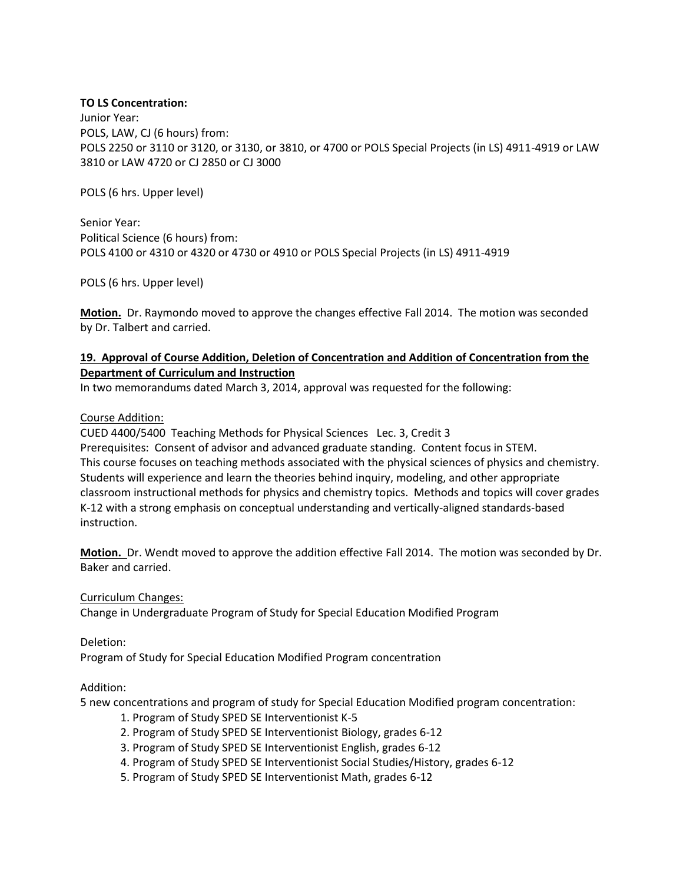#### **TO LS Concentration:**

Junior Year: POLS, LAW, CJ (6 hours) from: POLS 2250 or 3110 or 3120, or 3130, or 3810, or 4700 or POLS Special Projects (in LS) 4911-4919 or LAW 3810 or LAW 4720 or CJ 2850 or CJ 3000

POLS (6 hrs. Upper level)

Senior Year: Political Science (6 hours) from: POLS 4100 or 4310 or 4320 or 4730 or 4910 or POLS Special Projects (in LS) 4911-4919

POLS (6 hrs. Upper level)

**Motion.** Dr. Raymondo moved to approve the changes effective Fall 2014. The motion was seconded by Dr. Talbert and carried.

## **19. Approval of Course Addition, Deletion of Concentration and Addition of Concentration from the Department of Curriculum and Instruction**

In two memorandums dated March 3, 2014, approval was requested for the following:

#### Course Addition:

CUED 4400/5400 Teaching Methods for Physical Sciences Lec. 3, Credit 3 Prerequisites: Consent of advisor and advanced graduate standing. Content focus in STEM. This course focuses on teaching methods associated with the physical sciences of physics and chemistry. Students will experience and learn the theories behind inquiry, modeling, and other appropriate classroom instructional methods for physics and chemistry topics. Methods and topics will cover grades K-12 with a strong emphasis on conceptual understanding and vertically-aligned standards-based instruction.

**Motion.** Dr. Wendt moved to approve the addition effective Fall 2014. The motion was seconded by Dr. Baker and carried.

Curriculum Changes:

Change in Undergraduate Program of Study for Special Education Modified Program

Deletion:

Program of Study for Special Education Modified Program concentration

#### Addition:

5 new concentrations and program of study for Special Education Modified program concentration:

- 1. Program of Study SPED SE Interventionist K-5
- 2. Program of Study SPED SE Interventionist Biology, grades 6-12
- 3. Program of Study SPED SE Interventionist English, grades 6-12
- 4. Program of Study SPED SE Interventionist Social Studies/History, grades 6-12
- 5. Program of Study SPED SE Interventionist Math, grades 6-12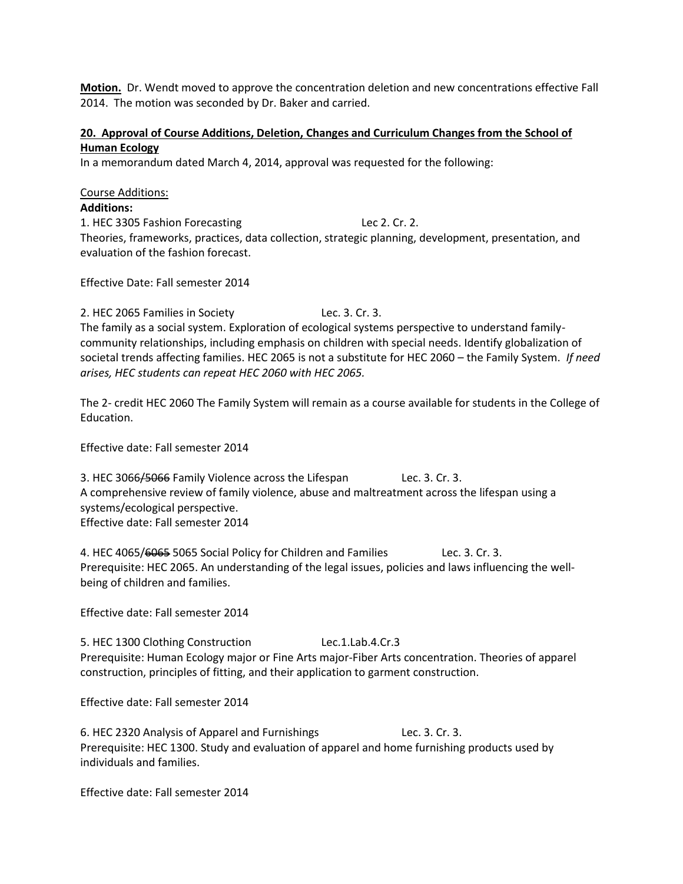**Motion.** Dr. Wendt moved to approve the concentration deletion and new concentrations effective Fall 2014. The motion was seconded by Dr. Baker and carried.

## **20. Approval of Course Additions, Deletion, Changes and Curriculum Changes from the School of Human Ecology**

In a memorandum dated March 4, 2014, approval was requested for the following:

Course Additions: **Additions:** 1. HEC 3305 Fashion Forecasting Lec 2. Cr. 2. Theories, frameworks, practices, data collection, strategic planning, development, presentation, and evaluation of the fashion forecast.

Effective Date: Fall semester 2014

2. HEC 2065 Families in Society Lec. 3. Cr. 3. The family as a social system. Exploration of ecological systems perspective to understand familycommunity relationships, including emphasis on children with special needs. Identify globalization of societal trends affecting families. HEC 2065 is not a substitute for HEC 2060 – the Family System. *If need arises, HEC students can repeat HEC 2060 with HEC 2065.*

The 2- credit HEC 2060 The Family System will remain as a course available for students in the College of Education.

Effective date: Fall semester 2014

3. HEC 3066/5066 Family Violence across the Lifespan Lec. 3. Cr. 3. A comprehensive review of family violence, abuse and maltreatment across the lifespan using a systems/ecological perspective. Effective date: Fall semester 2014

4. HEC 4065/6065 5065 Social Policy for Children and Families Lec. 3. Cr. 3. Prerequisite: HEC 2065. An understanding of the legal issues, policies and laws influencing the wellbeing of children and families.

Effective date: Fall semester 2014

5. HEC 1300 Clothing Construction Lec.1.Lab.4.Cr.3 Prerequisite: Human Ecology major or Fine Arts major-Fiber Arts concentration. Theories of apparel construction, principles of fitting, and their application to garment construction.

Effective date: Fall semester 2014

6. HEC 2320 Analysis of Apparel and Furnishings Lec. 3. Cr. 3. Prerequisite: HEC 1300. Study and evaluation of apparel and home furnishing products used by individuals and families.

Effective date: Fall semester 2014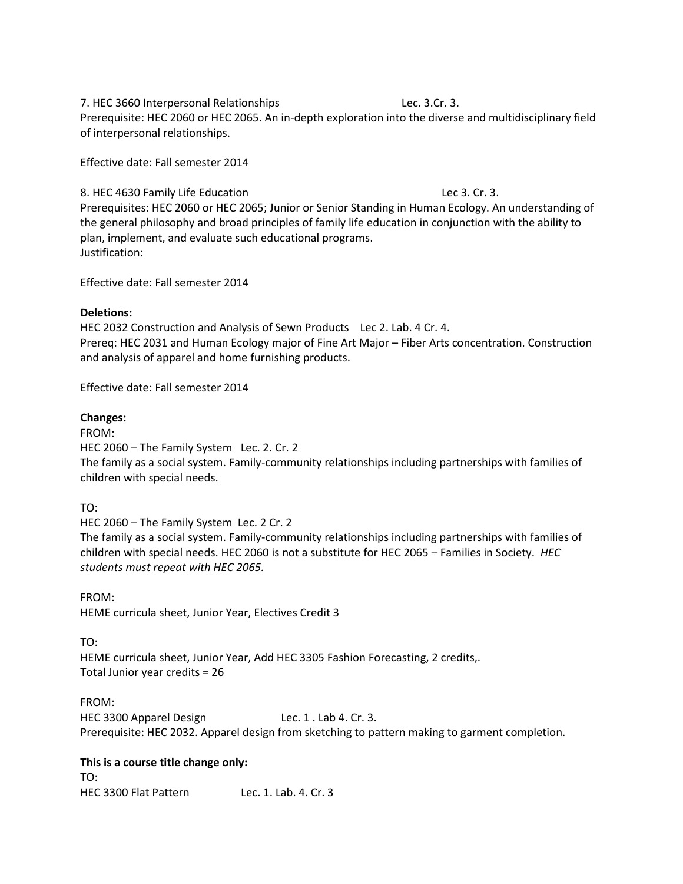#### 7. HEC 3660 Interpersonal Relationships Lec. 3.Cr. 3.

Prerequisite: HEC 2060 or HEC 2065. An in-depth exploration into the diverse and multidisciplinary field of interpersonal relationships.

Effective date: Fall semester 2014

8. HEC 4630 Family Life Education Lec 3. Cr. 3.

Prerequisites: HEC 2060 or HEC 2065; Junior or Senior Standing in Human Ecology. An understanding of the general philosophy and broad principles of family life education in conjunction with the ability to plan, implement, and evaluate such educational programs. Justification:

Effective date: Fall semester 2014

## **Deletions:**

HEC 2032 Construction and Analysis of Sewn Products Lec 2. Lab. 4 Cr. 4. Prereq: HEC 2031 and Human Ecology major of Fine Art Major – Fiber Arts concentration. Construction and analysis of apparel and home furnishing products.

Effective date: Fall semester 2014

## **Changes:**

FROM:

HEC 2060 – The Family System Lec. 2. Cr. 2

The family as a social system. Family-community relationships including partnerships with families of children with special needs.

TO:

HEC 2060 – The Family System Lec. 2 Cr. 2

The family as a social system. Family-community relationships including partnerships with families of children with special needs. HEC 2060 is not a substitute for HEC 2065 – Families in Society. *HEC students must repeat with HEC 2065.*

FROM: HEME curricula sheet, Junior Year, Electives Credit 3

TO:

HEME curricula sheet, Junior Year, Add HEC 3305 Fashion Forecasting, 2 credits,. Total Junior year credits = 26

FROM: HEC 3300 Apparel Design Lec. 1 . Lab 4. Cr. 3. Prerequisite: HEC 2032. Apparel design from sketching to pattern making to garment completion.

**This is a course title change only:** TO: HEC 3300 Flat Pattern Lec. 1. Lab. 4. Cr. 3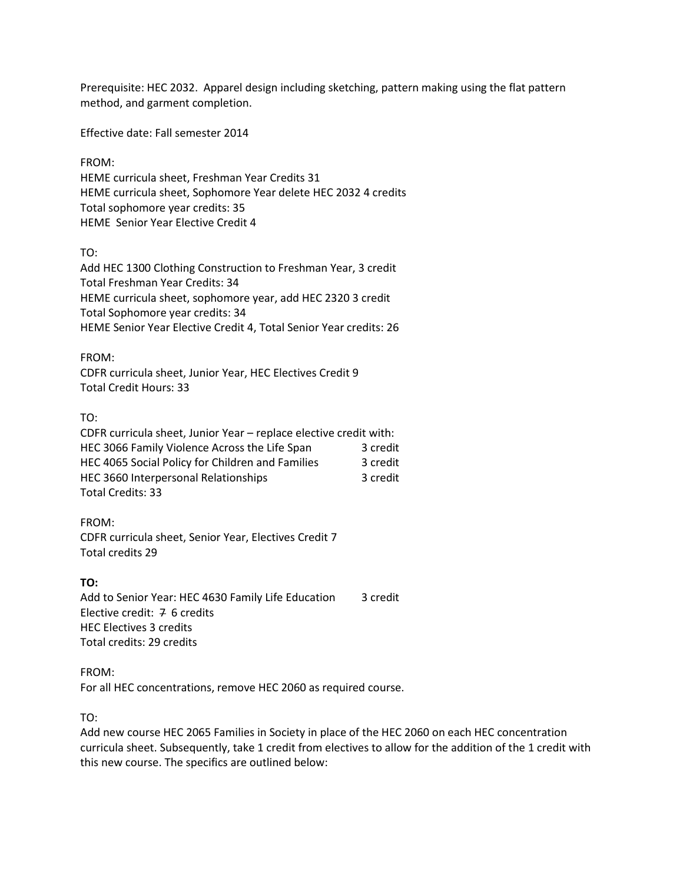Prerequisite: HEC 2032. Apparel design including sketching, pattern making using the flat pattern method, and garment completion.

Effective date: Fall semester 2014

FROM:

HEME curricula sheet, Freshman Year Credits 31 HEME curricula sheet, Sophomore Year delete HEC 2032 4 credits Total sophomore year credits: 35 HEME Senior Year Elective Credit 4

TO:

Add HEC 1300 Clothing Construction to Freshman Year, 3 credit Total Freshman Year Credits: 34 HEME curricula sheet, sophomore year, add HEC 2320 3 credit Total Sophomore year credits: 34 HEME Senior Year Elective Credit 4, Total Senior Year credits: 26

FROM:

CDFR curricula sheet, Junior Year, HEC Electives Credit 9 Total Credit Hours: 33

TO:

| CDFR curricula sheet, Junior Year - replace elective credit with: |          |
|-------------------------------------------------------------------|----------|
| HEC 3066 Family Violence Across the Life Span                     | 3 credit |
| HEC 4065 Social Policy for Children and Families                  | 3 credit |
| HEC 3660 Interpersonal Relationships                              | 3 credit |
| Total Credits: 33                                                 |          |

FROM: CDFR curricula sheet, Senior Year, Electives Credit 7 Total credits 29

**TO:** Add to Senior Year: HEC 4630 Family Life Education 3 credit Elective credit: 7 6 credits HEC Electives 3 credits Total credits: 29 credits

FROM: For all HEC concentrations, remove HEC 2060 as required course.

TO:

Add new course HEC 2065 Families in Society in place of the HEC 2060 on each HEC concentration curricula sheet. Subsequently, take 1 credit from electives to allow for the addition of the 1 credit with this new course. The specifics are outlined below: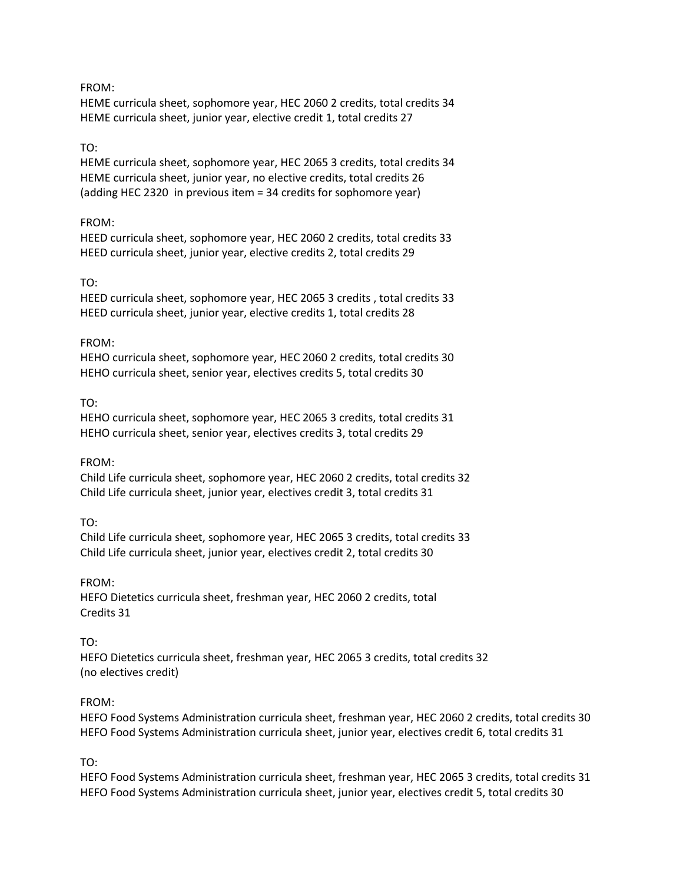#### FROM:

HEME curricula sheet, sophomore year, HEC 2060 2 credits, total credits 34 HEME curricula sheet, junior year, elective credit 1, total credits 27

## TO:

HEME curricula sheet, sophomore year, HEC 2065 3 credits, total credits 34 HEME curricula sheet, junior year, no elective credits, total credits 26 (adding HEC 2320 in previous item = 34 credits for sophomore year)

## FROM:

HEED curricula sheet, sophomore year, HEC 2060 2 credits, total credits 33 HEED curricula sheet, junior year, elective credits 2, total credits 29

## TO:

HEED curricula sheet, sophomore year, HEC 2065 3 credits , total credits 33 HEED curricula sheet, junior year, elective credits 1, total credits 28

## FROM:

HEHO curricula sheet, sophomore year, HEC 2060 2 credits, total credits 30 HEHO curricula sheet, senior year, electives credits 5, total credits 30

## TO:

HEHO curricula sheet, sophomore year, HEC 2065 3 credits, total credits 31 HEHO curricula sheet, senior year, electives credits 3, total credits 29

#### FROM:

Child Life curricula sheet, sophomore year, HEC 2060 2 credits, total credits 32 Child Life curricula sheet, junior year, electives credit 3, total credits 31

#### TO:

Child Life curricula sheet, sophomore year, HEC 2065 3 credits, total credits 33 Child Life curricula sheet, junior year, electives credit 2, total credits 30

#### FROM:

HEFO Dietetics curricula sheet, freshman year, HEC 2060 2 credits, total Credits 31

#### TO:

HEFO Dietetics curricula sheet, freshman year, HEC 2065 3 credits, total credits 32 (no electives credit)

## FROM:

HEFO Food Systems Administration curricula sheet, freshman year, HEC 2060 2 credits, total credits 30 HEFO Food Systems Administration curricula sheet, junior year, electives credit 6, total credits 31

## TO:

HEFO Food Systems Administration curricula sheet, freshman year, HEC 2065 3 credits, total credits 31 HEFO Food Systems Administration curricula sheet, junior year, electives credit 5, total credits 30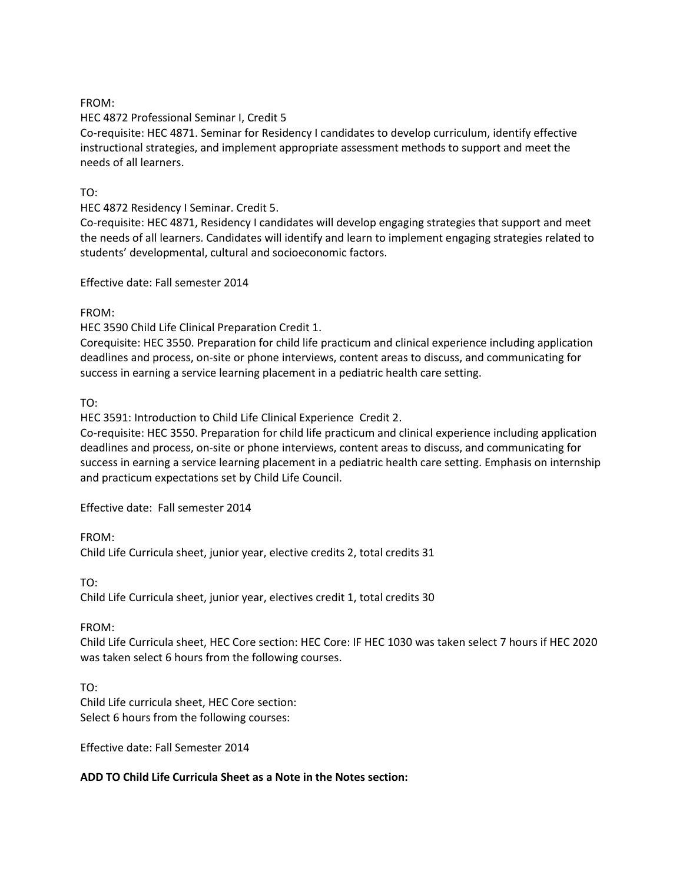#### FROM:

## HEC 4872 Professional Seminar I, Credit 5

Co-requisite: HEC 4871. Seminar for Residency I candidates to develop curriculum, identify effective instructional strategies, and implement appropriate assessment methods to support and meet the needs of all learners.

## TO:

HEC 4872 Residency I Seminar. Credit 5.

Co-requisite: HEC 4871, Residency I candidates will develop engaging strategies that support and meet the needs of all learners. Candidates will identify and learn to implement engaging strategies related to students' developmental, cultural and socioeconomic factors.

#### Effective date: Fall semester 2014

## FROM:

HEC 3590 Child Life Clinical Preparation Credit 1.

Corequisite: HEC 3550. Preparation for child life practicum and clinical experience including application deadlines and process, on-site or phone interviews, content areas to discuss, and communicating for success in earning a service learning placement in a pediatric health care setting.

TO:

HEC 3591: Introduction to Child Life Clinical Experience Credit 2.

Co-requisite: HEC 3550. Preparation for child life practicum and clinical experience including application deadlines and process, on-site or phone interviews, content areas to discuss, and communicating for success in earning a service learning placement in a pediatric health care setting. Emphasis on internship and practicum expectations set by Child Life Council.

Effective date: Fall semester 2014

FROM: Child Life Curricula sheet, junior year, elective credits 2, total credits 31

TO:

Child Life Curricula sheet, junior year, electives credit 1, total credits 30

#### FROM:

Child Life Curricula sheet, HEC Core section: HEC Core: IF HEC 1030 was taken select 7 hours if HEC 2020 was taken select 6 hours from the following courses.

TO: Child Life curricula sheet, HEC Core section: Select 6 hours from the following courses:

Effective date: Fall Semester 2014

#### **ADD TO Child Life Curricula Sheet as a Note in the Notes section:**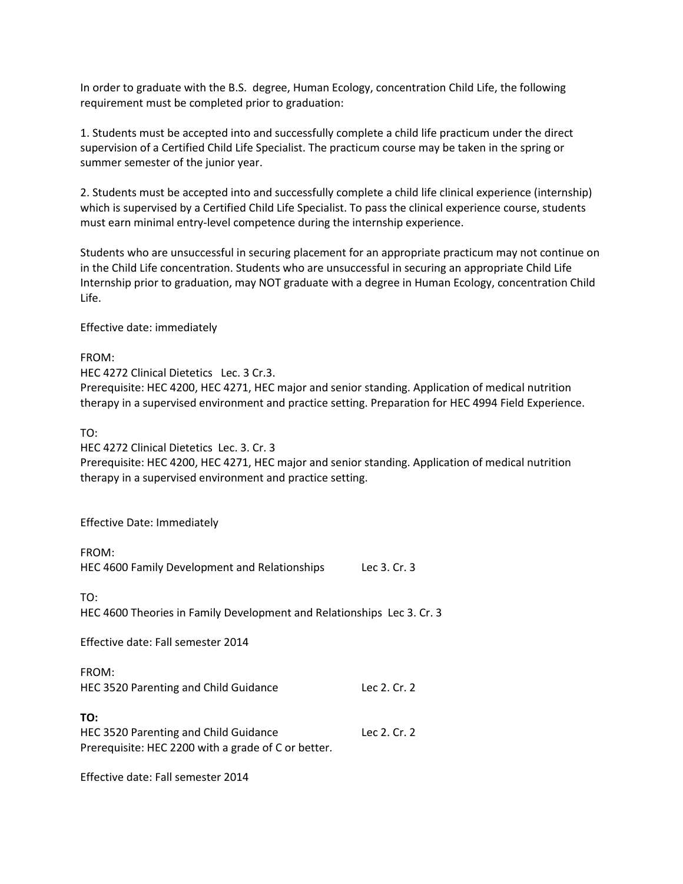In order to graduate with the B.S. degree, Human Ecology, concentration Child Life, the following requirement must be completed prior to graduation:

1. Students must be accepted into and successfully complete a child life practicum under the direct supervision of a Certified Child Life Specialist. The practicum course may be taken in the spring or summer semester of the junior year.

2. Students must be accepted into and successfully complete a child life clinical experience (internship) which is supervised by a Certified Child Life Specialist. To pass the clinical experience course, students must earn minimal entry-level competence during the internship experience.

Students who are unsuccessful in securing placement for an appropriate practicum may not continue on in the Child Life concentration. Students who are unsuccessful in securing an appropriate Child Life Internship prior to graduation, may NOT graduate with a degree in Human Ecology, concentration Child Life.

Effective date: immediately

FROM:

HEC 4272 Clinical Dietetics Lec. 3 Cr.3.

Prerequisite: HEC 4200, HEC 4271, HEC major and senior standing. Application of medical nutrition therapy in a supervised environment and practice setting. Preparation for HEC 4994 Field Experience.

TO:

HEC 4272 Clinical Dietetics Lec. 3. Cr. 3

Prerequisite: HEC 4200, HEC 4271, HEC major and senior standing. Application of medical nutrition therapy in a supervised environment and practice setting.

Effective Date: Immediately

| FROM:<br>HEC 4600 Family Development and Relationships                                              | Lec 3, Cr. 3 |
|-----------------------------------------------------------------------------------------------------|--------------|
| TO:<br>HEC 4600 Theories in Family Development and Relationships Lec 3. Cr. 3                       |              |
| Effective date: Fall semester 2014                                                                  |              |
| FROM:<br>HEC 3520 Parenting and Child Guidance                                                      | Lec 2. Cr. 2 |
| TO:<br>HEC 3520 Parenting and Child Guidance<br>Prerequisite: HEC 2200 with a grade of C or better. | Lec 2. Cr. 2 |

Effective date: Fall semester 2014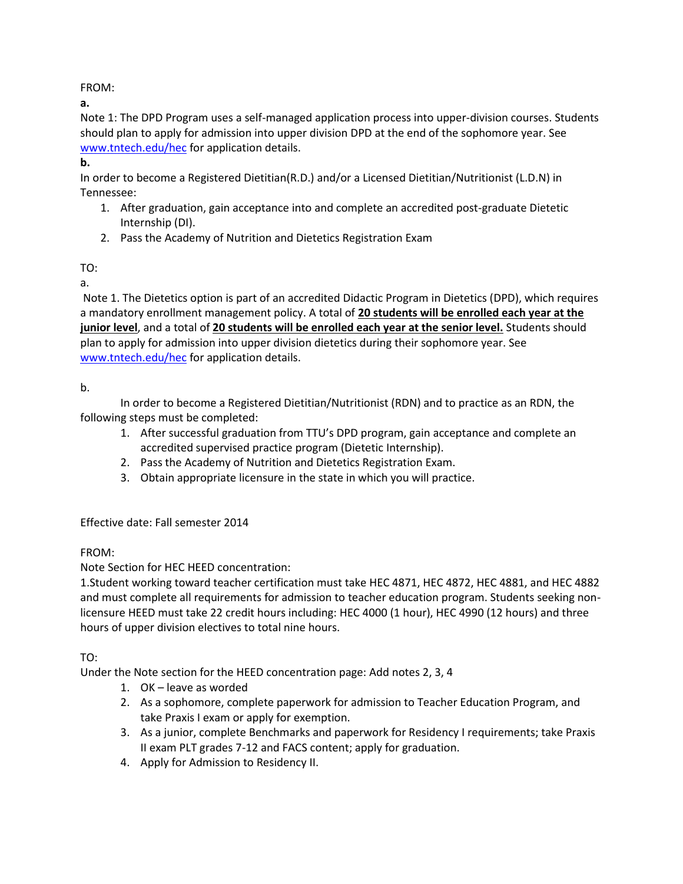FROM:

**a.**

Note 1: The DPD Program uses a self-managed application process into upper-division courses. Students should plan to apply for admission into upper division DPD at the end of the sophomore year. See [www.tntech.edu/hec](http://www.tntech.edu/hec) for application details.

**b.** 

In order to become a Registered Dietitian(R.D.) and/or a Licensed Dietitian/Nutritionist (L.D.N) in Tennessee:

- 1. After graduation, gain acceptance into and complete an accredited post-graduate Dietetic Internship (DI).
- 2. Pass the Academy of Nutrition and Dietetics Registration Exam

TO:

a.

Note 1. The Dietetics option is part of an accredited Didactic Program in Dietetics (DPD), which requires a mandatory enrollment management policy. A total of **20 students will be enrolled each year at the junior level**, and a total of **20 students will be enrolled each year at the senior level.** Students should plan to apply for admission into upper division dietetics during their sophomore year. See [www.tntech.edu/hec](http://www.tntech.edu/hec) for application details.

b.

In order to become a Registered Dietitian/Nutritionist (RDN) and to practice as an RDN, the following steps must be completed:

- 1. After successful graduation from TTU's DPD program, gain acceptance and complete an accredited supervised practice program (Dietetic Internship).
- 2. Pass the Academy of Nutrition and Dietetics Registration Exam.
- 3. Obtain appropriate licensure in the state in which you will practice.

Effective date: Fall semester 2014

FROM:

Note Section for HEC HEED concentration:

1.Student working toward teacher certification must take HEC 4871, HEC 4872, HEC 4881, and HEC 4882 and must complete all requirements for admission to teacher education program. Students seeking nonlicensure HEED must take 22 credit hours including: HEC 4000 (1 hour), HEC 4990 (12 hours) and three hours of upper division electives to total nine hours.

TO:

Under the Note section for the HEED concentration page: Add notes 2, 3, 4

- 1. OK leave as worded
- 2. As a sophomore, complete paperwork for admission to Teacher Education Program, and take Praxis I exam or apply for exemption.
- 3. As a junior, complete Benchmarks and paperwork for Residency I requirements; take Praxis II exam PLT grades 7-12 and FACS content; apply for graduation.
- 4. Apply for Admission to Residency II.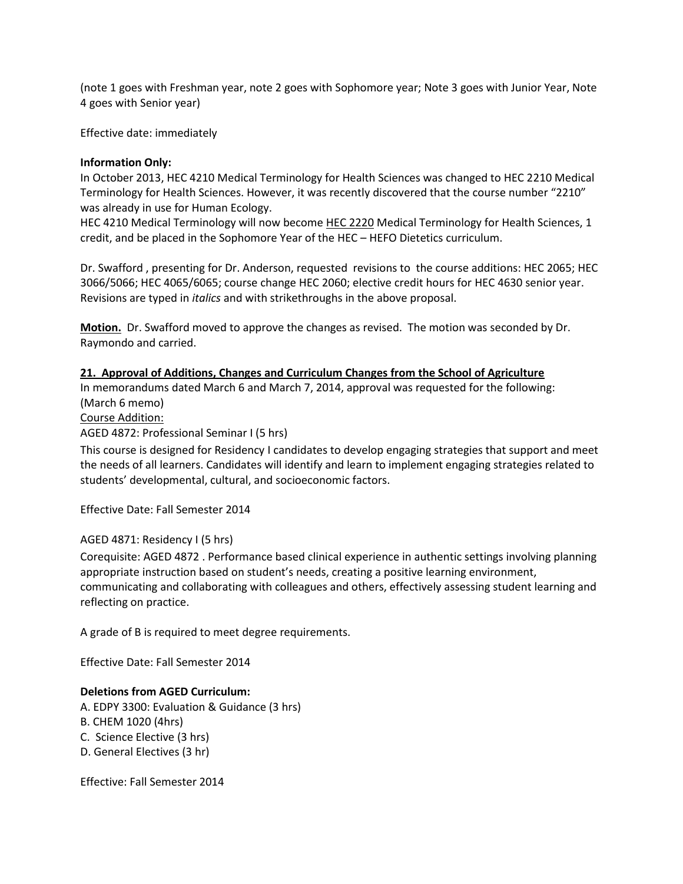(note 1 goes with Freshman year, note 2 goes with Sophomore year; Note 3 goes with Junior Year, Note 4 goes with Senior year)

Effective date: immediately

## **Information Only:**

In October 2013, HEC 4210 Medical Terminology for Health Sciences was changed to HEC 2210 Medical Terminology for Health Sciences. However, it was recently discovered that the course number "2210" was already in use for Human Ecology.

HEC 4210 Medical Terminology will now become HEC 2220 Medical Terminology for Health Sciences, 1 credit, and be placed in the Sophomore Year of the HEC – HEFO Dietetics curriculum.

Dr. Swafford , presenting for Dr. Anderson, requested revisions to the course additions: HEC 2065; HEC 3066/5066; HEC 4065/6065; course change HEC 2060; elective credit hours for HEC 4630 senior year. Revisions are typed in *italics* and with strikethroughs in the above proposal.

**Motion.** Dr. Swafford moved to approve the changes as revised. The motion was seconded by Dr. Raymondo and carried.

## **21. Approval of Additions, Changes and Curriculum Changes from the School of Agriculture**

In memorandums dated March 6 and March 7, 2014, approval was requested for the following: (March 6 memo)

Course Addition:

AGED 4872: Professional Seminar I (5 hrs)

This course is designed for Residency I candidates to develop engaging strategies that support and meet the needs of all learners. Candidates will identify and learn to implement engaging strategies related to students' developmental, cultural, and socioeconomic factors.

Effective Date: Fall Semester 2014

#### AGED 4871: Residency I (5 hrs)

Corequisite: AGED 4872 . Performance based clinical experience in authentic settings involving planning appropriate instruction based on student's needs, creating a positive learning environment, communicating and collaborating with colleagues and others, effectively assessing student learning and reflecting on practice.

A grade of B is required to meet degree requirements.

Effective Date: Fall Semester 2014

## **Deletions from AGED Curriculum:**

- A. EDPY 3300: Evaluation & Guidance (3 hrs)
- B. CHEM 1020 (4hrs)
- C. Science Elective (3 hrs)
- D. General Electives (3 hr)

Effective: Fall Semester 2014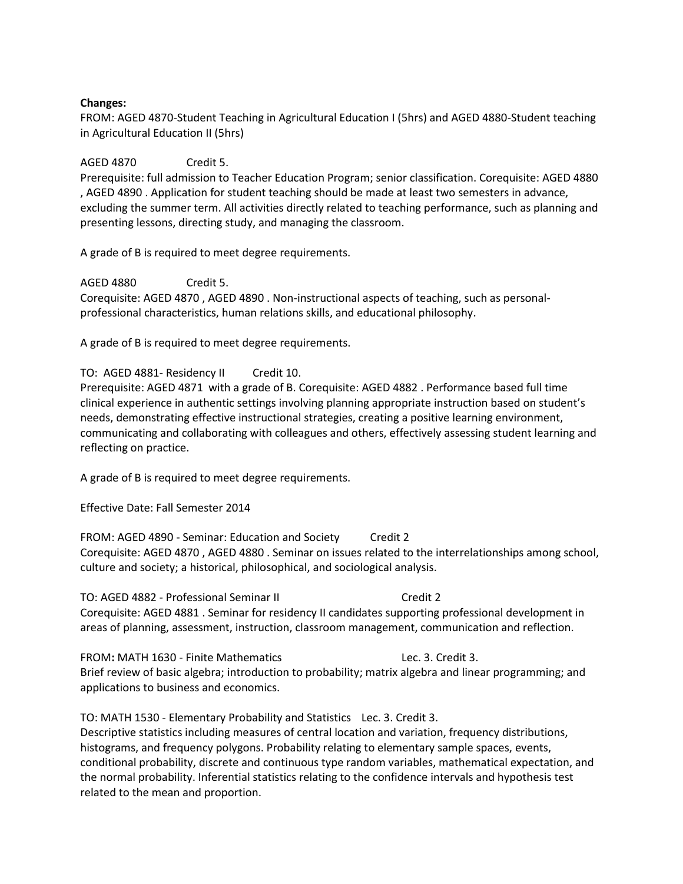#### **Changes:**

FROM: AGED 4870-Student Teaching in Agricultural Education I (5hrs) and AGED 4880-Student teaching in Agricultural Education II (5hrs)

#### AGED 4870 Credit 5.

Prerequisite: full admission to Teacher Education Program; senior classification. Corequisite: AGED 4880 , AGED 4890 . Application for student teaching should be made at least two semesters in advance, excluding the summer term. All activities directly related to teaching performance, such as planning and presenting lessons, directing study, and managing the classroom.

A grade of B is required to meet degree requirements.

AGED 4880 Credit 5. Corequisite: AGED 4870 , AGED 4890 . Non-instructional aspects of teaching, such as personalprofessional characteristics, human relations skills, and educational philosophy.

A grade of B is required to meet degree requirements.

#### TO: AGED 4881- Residency II Credit 10.

Prerequisite: AGED 4871 with a grade of B. Corequisite: AGED 4882 . Performance based full time clinical experience in authentic settings involving planning appropriate instruction based on student's needs, demonstrating effective instructional strategies, creating a positive learning environment, communicating and collaborating with colleagues and others, effectively assessing student learning and reflecting on practice.

A grade of B is required to meet degree requirements.

Effective Date: Fall Semester 2014

FROM: AGED 4890 - Seminar: Education and Society Credit 2 Corequisite: AGED 4870 , AGED 4880 . Seminar on issues related to the interrelationships among school, culture and society; a historical, philosophical, and sociological analysis.

TO: AGED 4882 - Professional Seminar II Credit 2 Corequisite: AGED 4881 . Seminar for residency II candidates supporting professional development in areas of planning, assessment, instruction, classroom management, communication and reflection.

FROM: MATH 1630 - Finite Mathematics Lec. 3. Credit 3. Brief review of basic algebra; introduction to probability; matrix algebra and linear programming; and applications to business and economics.

TO: MATH 1530 - Elementary Probability and Statistics Lec. 3. Credit 3. Descriptive statistics including measures of central location and variation, frequency distributions, histograms, and frequency polygons. Probability relating to elementary sample spaces, events, conditional probability, discrete and continuous type random variables, mathematical expectation, and the normal probability. Inferential statistics relating to the confidence intervals and hypothesis test related to the mean and proportion.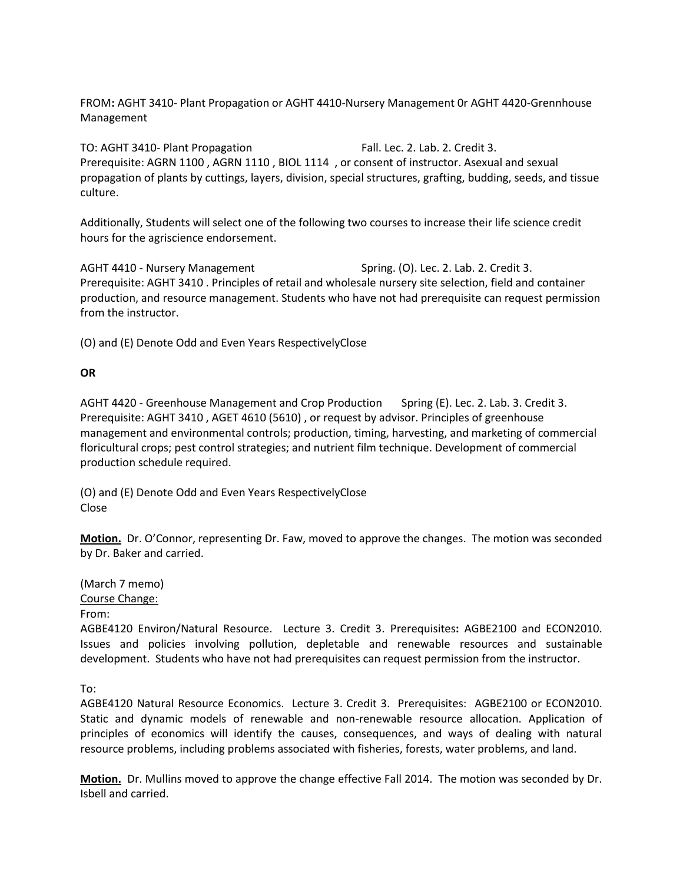FROM**:** AGHT 3410- Plant Propagation or AGHT 4410-Nursery Management 0r AGHT 4420-Grennhouse Management

TO: AGHT 3410- Plant Propagation Fall. Lec. 2. Lab. 2. Credit 3. Prerequisite: AGRN 1100 , AGRN 1110 , BIOL 1114 , or consent of instructor. Asexual and sexual propagation of plants by cuttings, layers, division, special structures, grafting, budding, seeds, and tissue culture.

Additionally, Students will select one of the following two courses to increase their life science credit hours for the agriscience endorsement.

AGHT 4410 - Nursery Management Spring. (O). Lec. 2. Lab. 2. Credit 3. Prerequisite: AGHT 3410 . Principles of retail and wholesale nursery site selection, field and container production, and resource management. Students who have not had prerequisite can request permission from the instructor.

(O) and (E) Denote Odd and Even Years RespectivelyClose

#### **OR**

AGHT 4420 - Greenhouse Management and Crop Production Spring (E). Lec. 2. Lab. 3. Credit 3. Prerequisite: AGHT 3410 , AGET 4610 (5610) , or request by advisor. Principles of greenhouse management and environmental controls; production, timing, harvesting, and marketing of commercial floricultural crops; pest control strategies; and nutrient film technique. Development of commercial production schedule required.

(O) and (E) Denote Odd and Even Years RespectivelyClose Close

**Motion.** Dr. O'Connor, representing Dr. Faw, moved to approve the changes. The motion was seconded by Dr. Baker and carried.

(March 7 memo) Course Change: From:

AGBE4120 Environ/Natural Resource. Lecture 3. Credit 3. Prerequisites**:** AGBE2100 and ECON2010. Issues and policies involving pollution, depletable and renewable resources and sustainable development. Students who have not had prerequisites can request permission from the instructor.

To:

AGBE4120 Natural Resource Economics. Lecture 3. Credit 3. Prerequisites:AGBE2100 or ECON2010. Static and dynamic models of renewable and non-renewable resource allocation. Application of principles of economics will identify the causes, consequences, and ways of dealing with natural resource problems, including problems associated with fisheries, forests, water problems, and land.

**Motion.** Dr. Mullins moved to approve the change effective Fall 2014. The motion was seconded by Dr. Isbell and carried.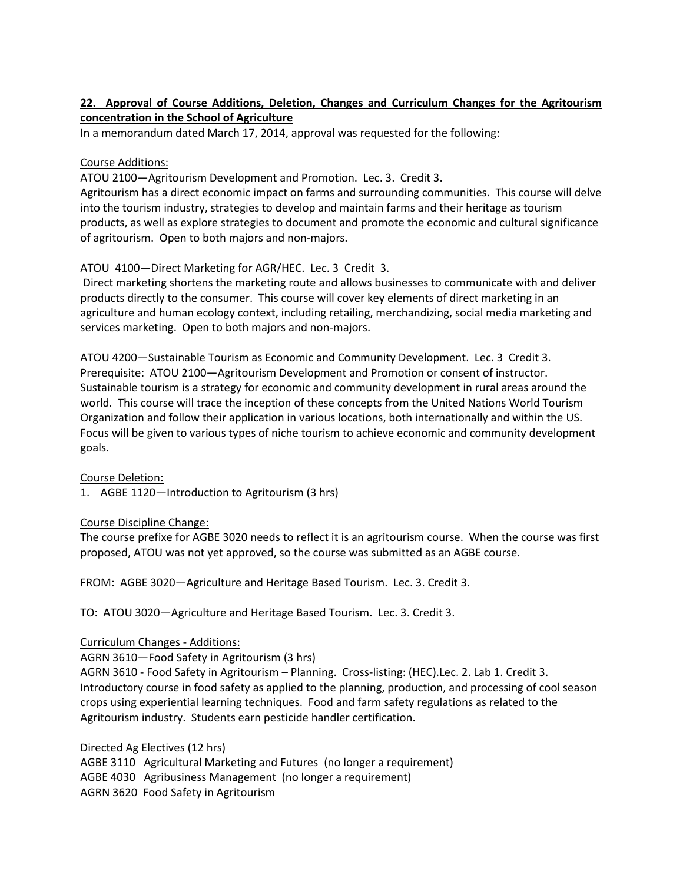## **22. Approval of Course Additions, Deletion, Changes and Curriculum Changes for the Agritourism concentration in the School of Agriculture**

In a memorandum dated March 17, 2014, approval was requested for the following:

#### Course Additions:

ATOU 2100—Agritourism Development and Promotion. Lec. 3. Credit 3.

Agritourism has a direct economic impact on farms and surrounding communities. This course will delve into the tourism industry, strategies to develop and maintain farms and their heritage as tourism products, as well as explore strategies to document and promote the economic and cultural significance of agritourism. Open to both majors and non-majors.

#### ATOU 4100—Direct Marketing for AGR/HEC. Lec. 3 Credit 3.

Direct marketing shortens the marketing route and allows businesses to communicate with and deliver products directly to the consumer. This course will cover key elements of direct marketing in an agriculture and human ecology context, including retailing, merchandizing, social media marketing and services marketing. Open to both majors and non-majors.

ATOU 4200—Sustainable Tourism as Economic and Community Development. Lec. 3 Credit 3. Prerequisite: ATOU 2100—Agritourism Development and Promotion or consent of instructor. Sustainable tourism is a strategy for economic and community development in rural areas around the world. This course will trace the inception of these concepts from the United Nations World Tourism Organization and follow their application in various locations, both internationally and within the US. Focus will be given to various types of niche tourism to achieve economic and community development goals.

Course Deletion:

1. AGBE 1120—Introduction to Agritourism (3 hrs)

#### Course Discipline Change:

The course prefixe for AGBE 3020 needs to reflect it is an agritourism course. When the course was first proposed, ATOU was not yet approved, so the course was submitted as an AGBE course.

FROM: AGBE 3020—Agriculture and Heritage Based Tourism. Lec. 3. Credit 3.

TO: ATOU 3020—Agriculture and Heritage Based Tourism. Lec. 3. Credit 3.

#### Curriculum Changes - Additions:

AGRN 3610—Food Safety in Agritourism (3 hrs) AGRN 3610 - Food Safety in Agritourism – Planning. Cross-listing: (HEC).Lec. 2. Lab 1. Credit 3. Introductory course in food safety as applied to the planning, production, and processing of cool season crops using experiential learning techniques. Food and farm safety regulations as related to the Agritourism industry. Students earn pesticide handler certification.

Directed Ag Electives (12 hrs) AGBE 3110 Agricultural Marketing and Futures (no longer a requirement) AGBE 4030 Agribusiness Management (no longer a requirement) AGRN 3620 Food Safety in Agritourism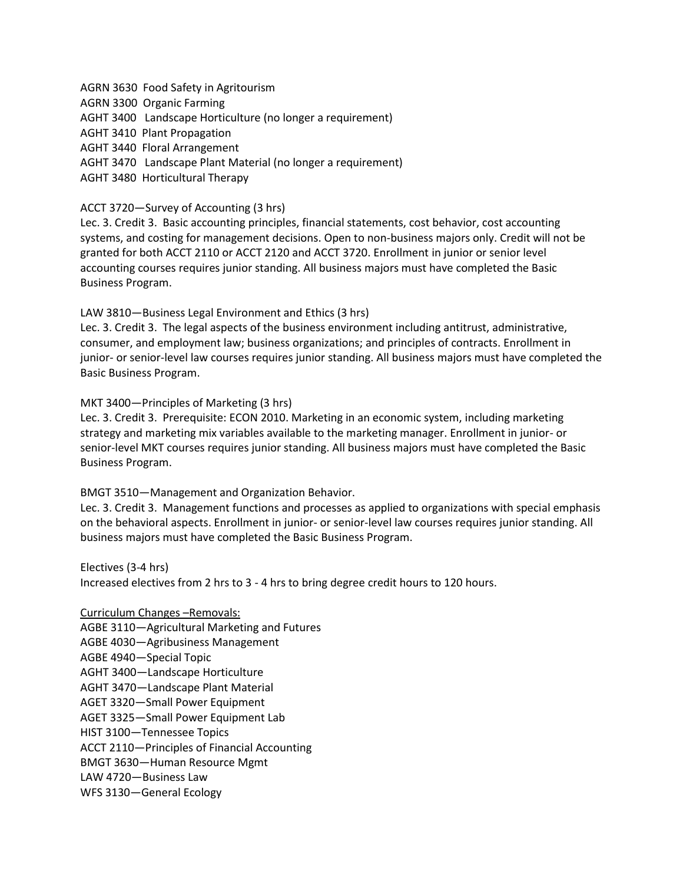AGRN 3630 Food Safety in Agritourism AGRN 3300 Organic Farming AGHT 3400 Landscape Horticulture (no longer a requirement) AGHT 3410 Plant Propagation AGHT 3440 Floral Arrangement

AGHT 3470 Landscape Plant Material (no longer a requirement)

AGHT 3480 Horticultural Therapy

#### ACCT 3720—Survey of Accounting (3 hrs)

Lec. 3. Credit 3. Basic accounting principles, financial statements, cost behavior, cost accounting systems, and costing for management decisions. Open to non-business majors only. Credit will not be granted for both ACCT 2110 or ACCT 2120 and ACCT 3720. Enrollment in junior or senior level accounting courses requires junior standing. All business majors must have completed the Basic Business Program.

LAW 3810—Business Legal Environment and Ethics (3 hrs)

Lec. 3. Credit 3. The legal aspects of the business environment including antitrust, administrative, consumer, and employment law; business organizations; and principles of contracts. Enrollment in junior- or senior-level law courses requires junior standing. All business majors must have completed the Basic Business Program.

MKT 3400—Principles of Marketing (3 hrs)

Lec. 3. Credit 3. Prerequisite: ECON 2010. Marketing in an economic system, including marketing strategy and marketing mix variables available to the marketing manager. Enrollment in junior- or senior-level MKT courses requires junior standing. All business majors must have completed the Basic Business Program.

BMGT 3510—Management and Organization Behavior.

Lec. 3. Credit 3. Management functions and processes as applied to organizations with special emphasis on the behavioral aspects. Enrollment in junior- or senior-level law courses requires junior standing. All business majors must have completed the Basic Business Program.

Electives (3-4 hrs)

Increased electives from 2 hrs to 3 - 4 hrs to bring degree credit hours to 120 hours.

Curriculum Changes –Removals:

AGBE 3110—Agricultural Marketing and Futures

AGBE 4030—Agribusiness Management

AGBE 4940—Special Topic

AGHT 3400—Landscape Horticulture

AGHT 3470—Landscape Plant Material

AGET 3320—Small Power Equipment

AGET 3325—Small Power Equipment Lab

HIST 3100—Tennessee Topics

ACCT 2110—Principles of Financial Accounting

BMGT 3630—Human Resource Mgmt

LAW 4720—Business Law

WFS 3130—General Ecology